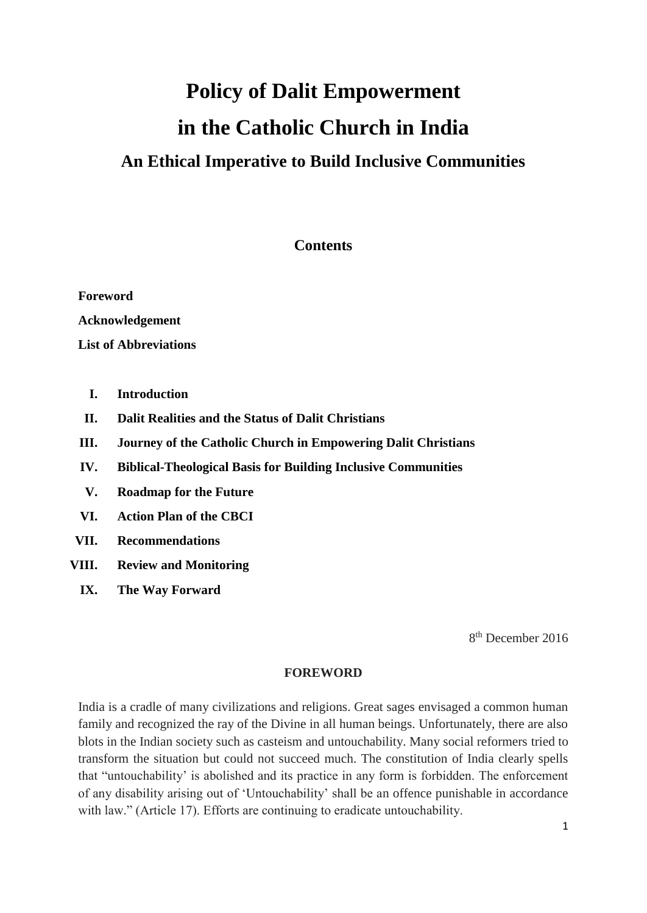# **Policy of Dalit Empowerment in the Catholic Church in India An Ethical Imperative to Build Inclusive Communities**

# **Contents**

**Foreword Acknowledgement List of Abbreviations**

- **I. Introduction**
- **II. Dalit Realities and the Status of Dalit Christians**
- **III. Journey of the Catholic Church in Empowering Dalit Christians**
- **IV. Biblical-Theological Basis for Building Inclusive Communities**
- **V. Roadmap for the Future**
- **VI. Action Plan of the CBCI**
- **VII. Recommendations**
- **VIII. Review and Monitoring**
	- **IX. The Way Forward**

8 th December 2016

#### **FOREWORD**

India is a cradle of many civilizations and religions. Great sages envisaged a common human family and recognized the ray of the Divine in all human beings. Unfortunately, there are also blots in the Indian society such as casteism and untouchability. Many social reformers tried to transform the situation but could not succeed much. The constitution of India clearly spells that "untouchability' is abolished and its practice in any form is forbidden. The enforcement of any disability arising out of 'Untouchability' shall be an offence punishable in accordance with law." (Article 17). Efforts are continuing to eradicate untouchability.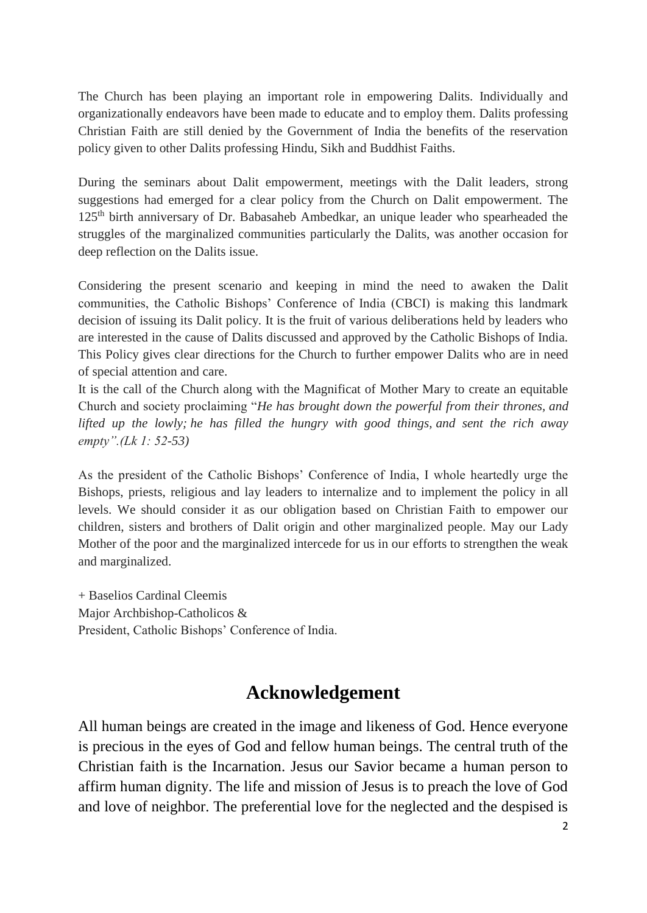The Church has been playing an important role in empowering Dalits. Individually and organizationally endeavors have been made to educate and to employ them. Dalits professing Christian Faith are still denied by the Government of India the benefits of the reservation policy given to other Dalits professing Hindu, Sikh and Buddhist Faiths.

During the seminars about Dalit empowerment, meetings with the Dalit leaders, strong suggestions had emerged for a clear policy from the Church on Dalit empowerment. The 125th birth anniversary of Dr. Babasaheb Ambedkar, an unique leader who spearheaded the struggles of the marginalized communities particularly the Dalits, was another occasion for deep reflection on the Dalits issue.

Considering the present scenario and keeping in mind the need to awaken the Dalit communities, the Catholic Bishops' Conference of India (CBCI) is making this landmark decision of issuing its Dalit policy. It is the fruit of various deliberations held by leaders who are interested in the cause of Dalits discussed and approved by the Catholic Bishops of India. This Policy gives clear directions for the Church to further empower Dalits who are in need of special attention and care.

It is the call of the Church along with the Magnificat of Mother Mary to create an equitable Church and society proclaiming "*He has brought down the powerful from their thrones, and lifted up the lowly; he has filled the hungry with good things, and sent the rich away empty".(Lk 1: 52-53)*

As the president of the Catholic Bishops' Conference of India, I whole heartedly urge the Bishops, priests, religious and lay leaders to internalize and to implement the policy in all levels. We should consider it as our obligation based on Christian Faith to empower our children, sisters and brothers of Dalit origin and other marginalized people. May our Lady Mother of the poor and the marginalized intercede for us in our efforts to strengthen the weak and marginalized.

+ Baselios Cardinal Cleemis Major Archbishop-Catholicos & President, Catholic Bishops' Conference of India.

# **Acknowledgement**

All human beings are created in the image and likeness of God. Hence everyone is precious in the eyes of God and fellow human beings. The central truth of the Christian faith is the Incarnation. Jesus our Savior became a human person to affirm human dignity. The life and mission of Jesus is to preach the love of God and love of neighbor. The preferential love for the neglected and the despised is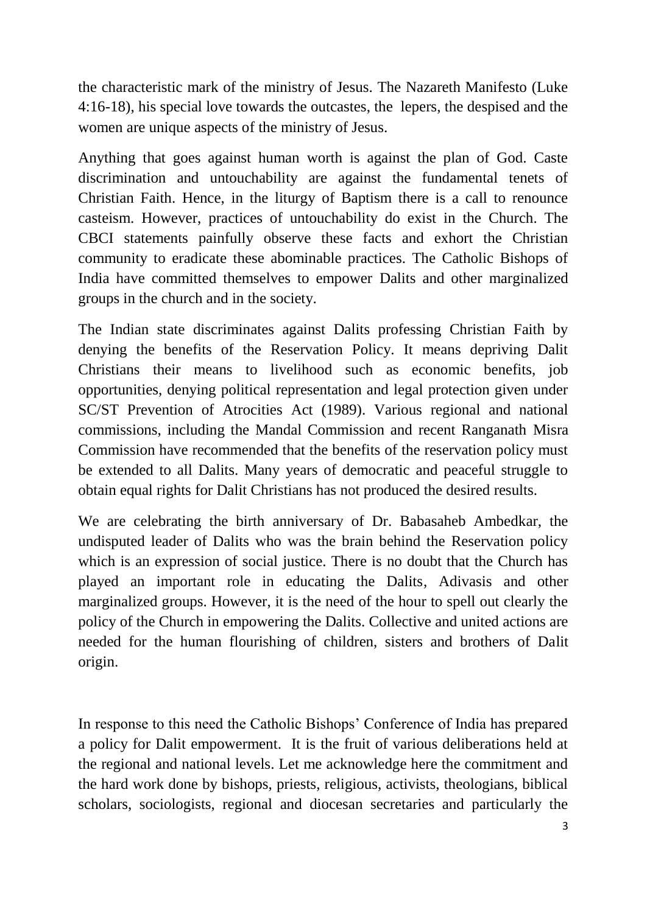the characteristic mark of the ministry of Jesus. The Nazareth Manifesto (Luke 4:16-18), his special love towards the outcastes, the lepers, the despised and the women are unique aspects of the ministry of Jesus.

Anything that goes against human worth is against the plan of God. Caste discrimination and untouchability are against the fundamental tenets of Christian Faith. Hence, in the liturgy of Baptism there is a call to renounce casteism. However, practices of untouchability do exist in the Church. The CBCI statements painfully observe these facts and exhort the Christian community to eradicate these abominable practices. The Catholic Bishops of India have committed themselves to empower Dalits and other marginalized groups in the church and in the society.

The Indian state discriminates against Dalits professing Christian Faith by denying the benefits of the Reservation Policy. It means depriving Dalit Christians their means to livelihood such as economic benefits, job opportunities, denying political representation and legal protection given under SC/ST Prevention of Atrocities Act (1989). Various regional and national commissions, including the Mandal Commission and recent Ranganath Misra Commission have recommended that the benefits of the reservation policy must be extended to all Dalits. Many years of democratic and peaceful struggle to obtain equal rights for Dalit Christians has not produced the desired results.

We are celebrating the birth anniversary of Dr. Babasaheb Ambedkar, the undisputed leader of Dalits who was the brain behind the Reservation policy which is an expression of social justice. There is no doubt that the Church has played an important role in educating the Dalits, Adivasis and other marginalized groups. However, it is the need of the hour to spell out clearly the policy of the Church in empowering the Dalits. Collective and united actions are needed for the human flourishing of children, sisters and brothers of Dalit origin.

In response to this need the Catholic Bishops' Conference of India has prepared a policy for Dalit empowerment. It is the fruit of various deliberations held at the regional and national levels. Let me acknowledge here the commitment and the hard work done by bishops, priests, religious, activists, theologians, biblical scholars, sociologists, regional and diocesan secretaries and particularly the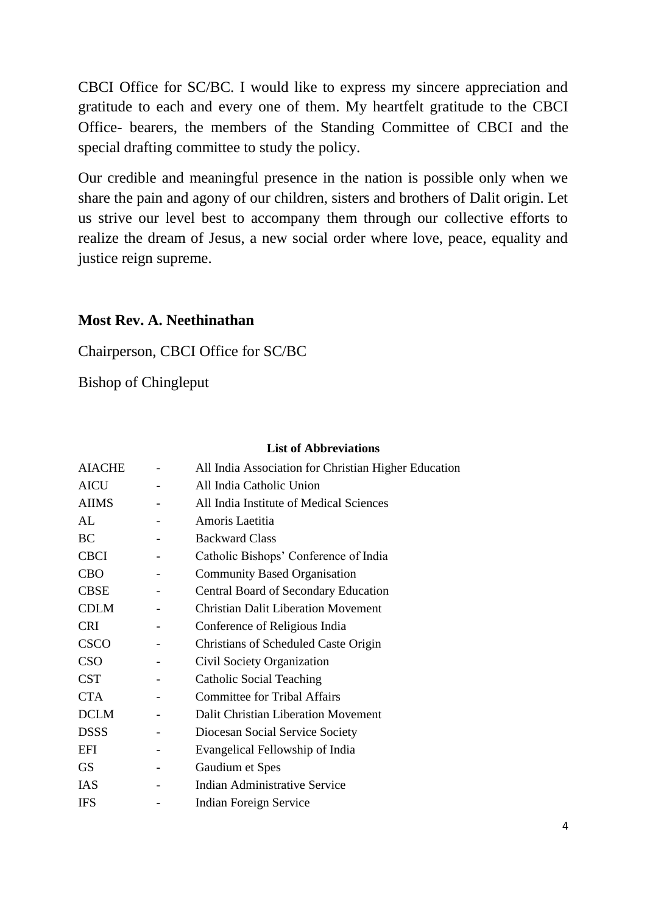CBCI Office for SC/BC. I would like to express my sincere appreciation and gratitude to each and every one of them. My heartfelt gratitude to the CBCI Office- bearers, the members of the Standing Committee of CBCI and the special drafting committee to study the policy.

Our credible and meaningful presence in the nation is possible only when we share the pain and agony of our children, sisters and brothers of Dalit origin. Let us strive our level best to accompany them through our collective efforts to realize the dream of Jesus, a new social order where love, peace, equality and justice reign supreme.

# **Most Rev. A. Neethinathan**

Chairperson, CBCI Office for SC/BC

Bishop of Chingleput

# **List of Abbreviations**

| <b>AIACHE</b> | All India Association for Christian Higher Education |
|---------------|------------------------------------------------------|
| <b>AICU</b>   | All India Catholic Union                             |
| <b>AIIMS</b>  | All India Institute of Medical Sciences              |
| AL            | Amoris Laetitia                                      |
| <b>BC</b>     | <b>Backward Class</b>                                |
| <b>CBCI</b>   | Catholic Bishops' Conference of India                |
| <b>CBO</b>    | <b>Community Based Organisation</b>                  |
| <b>CBSE</b>   | <b>Central Board of Secondary Education</b>          |
| <b>CDLM</b>   | <b>Christian Dalit Liberation Movement</b>           |
| <b>CRI</b>    | Conference of Religious India                        |
| <b>CSCO</b>   | Christians of Scheduled Caste Origin                 |
| <b>CSO</b>    | Civil Society Organization                           |
| <b>CST</b>    | Catholic Social Teaching                             |
| <b>CTA</b>    | <b>Committee for Tribal Affairs</b>                  |
| <b>DCLM</b>   | Dalit Christian Liberation Movement                  |
| <b>DSSS</b>   | Diocesan Social Service Society                      |
| <b>EFI</b>    | Evangelical Fellowship of India                      |
| <b>GS</b>     | Gaudium et Spes                                      |
| IAS           | <b>Indian Administrative Service</b>                 |
| <b>IFS</b>    | <b>Indian Foreign Service</b>                        |
|               |                                                      |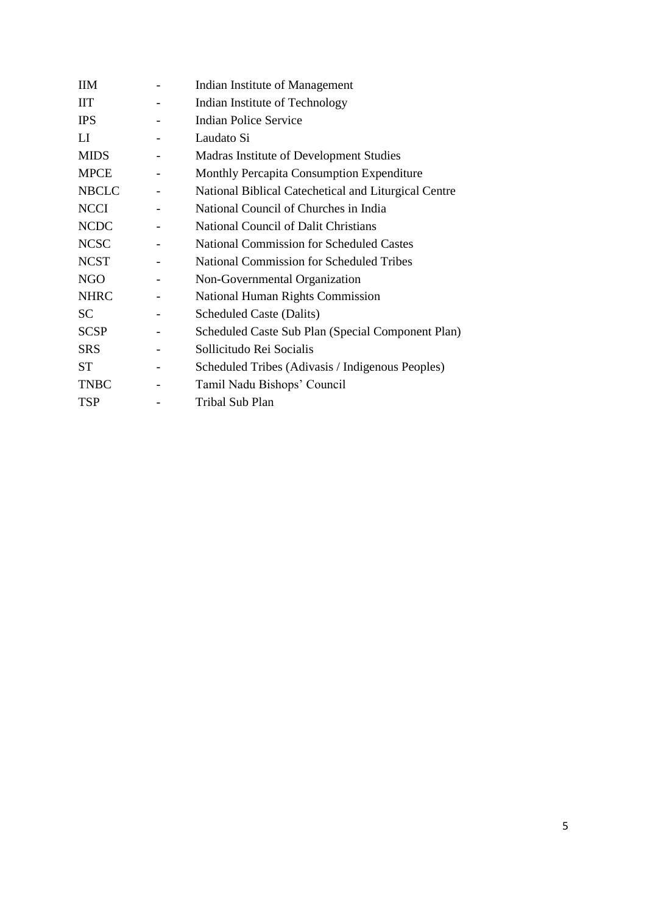| <b>IIM</b>   | Indian Institute of Management                       |
|--------------|------------------------------------------------------|
| <b>IIT</b>   | Indian Institute of Technology                       |
| <b>IPS</b>   | <b>Indian Police Service</b>                         |
| $_{\rm LI}$  | Laudato Si                                           |
| <b>MIDS</b>  | Madras Institute of Development Studies              |
| <b>MPCE</b>  | Monthly Percapita Consumption Expenditure            |
| <b>NBCLC</b> | National Biblical Catechetical and Liturgical Centre |
| <b>NCCI</b>  | National Council of Churches in India                |
| <b>NCDC</b>  | National Council of Dalit Christians                 |
| <b>NCSC</b>  | <b>National Commission for Scheduled Castes</b>      |
| <b>NCST</b>  | <b>National Commission for Scheduled Tribes</b>      |
| <b>NGO</b>   | Non-Governmental Organization                        |
| <b>NHRC</b>  | <b>National Human Rights Commission</b>              |
| <b>SC</b>    | <b>Scheduled Caste (Dalits)</b>                      |
| <b>SCSP</b>  | Scheduled Caste Sub Plan (Special Component Plan)    |
| <b>SRS</b>   | Sollicitudo Rei Socialis                             |
| <b>ST</b>    | Scheduled Tribes (Adivasis / Indigenous Peoples)     |
| <b>TNBC</b>  | Tamil Nadu Bishops' Council                          |
| <b>TSP</b>   | Tribal Sub Plan                                      |
|              |                                                      |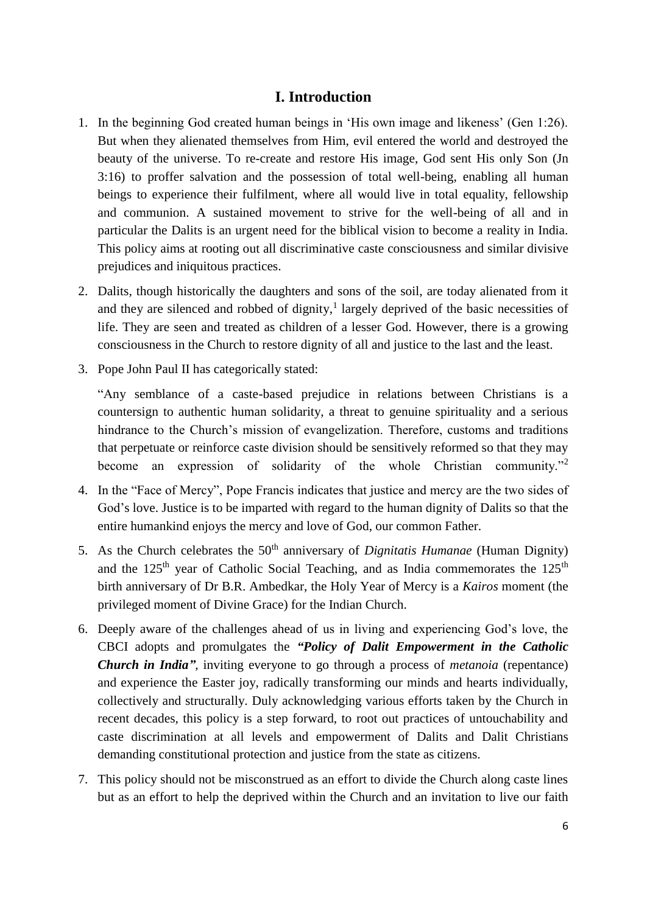# **I. Introduction**

- 1. In the beginning God created human beings in 'His own image and likeness' (Gen 1:26). But when they alienated themselves from Him, evil entered the world and destroyed the beauty of the universe. To re-create and restore His image, God sent His only Son (Jn 3:16) to proffer salvation and the possession of total well-being, enabling all human beings to experience their fulfilment, where all would live in total equality, fellowship and communion. A sustained movement to strive for the well-being of all and in particular the Dalits is an urgent need for the biblical vision to become a reality in India. This policy aims at rooting out all discriminative caste consciousness and similar divisive prejudices and iniquitous practices.
- 2. Dalits, though historically the daughters and sons of the soil, are today alienated from it and they are silenced and robbed of dignity, 1 largely deprived of the basic necessities of life. They are seen and treated as children of a lesser God. However, there is a growing consciousness in the Church to restore dignity of all and justice to the last and the least.
- 3. Pope John Paul II has categorically stated:

"Any semblance of a caste-based prejudice in relations between Christians is a countersign to authentic human solidarity, a threat to genuine spirituality and a serious hindrance to the Church's mission of evangelization. Therefore, customs and traditions that perpetuate or reinforce caste division should be sensitively reformed so that they may become an expression of solidarity of the whole Christian community."<sup>2</sup>

- 4. In the "Face of Mercy", Pope Francis indicates that justice and mercy are the two sides of God's love. Justice is to be imparted with regard to the human dignity of Dalits so that the entire humankind enjoys the mercy and love of God, our common Father.
- 5. As the Church celebrates the 50th anniversary of *Dignitatis Humanae* (Human Dignity) and the  $125<sup>th</sup>$  year of Catholic Social Teaching, and as India commemorates the  $125<sup>th</sup>$ birth anniversary of Dr B.R. Ambedkar, the Holy Year of Mercy is a *Kairos* moment (the privileged moment of Divine Grace) for the Indian Church.
- 6. Deeply aware of the challenges ahead of us in living and experiencing God's love, the CBCI adopts and promulgates the *"Policy of Dalit Empowerment in the Catholic Church in India"*, inviting everyone to go through a process of *metanoia* (repentance) and experience the Easter joy, radically transforming our minds and hearts individually, collectively and structurally. Duly acknowledging various efforts taken by the Church in recent decades, this policy is a step forward, to root out practices of untouchability and caste discrimination at all levels and empowerment of Dalits and Dalit Christians demanding constitutional protection and justice from the state as citizens.
- 7. This policy should not be misconstrued as an effort to divide the Church along caste lines but as an effort to help the deprived within the Church and an invitation to live our faith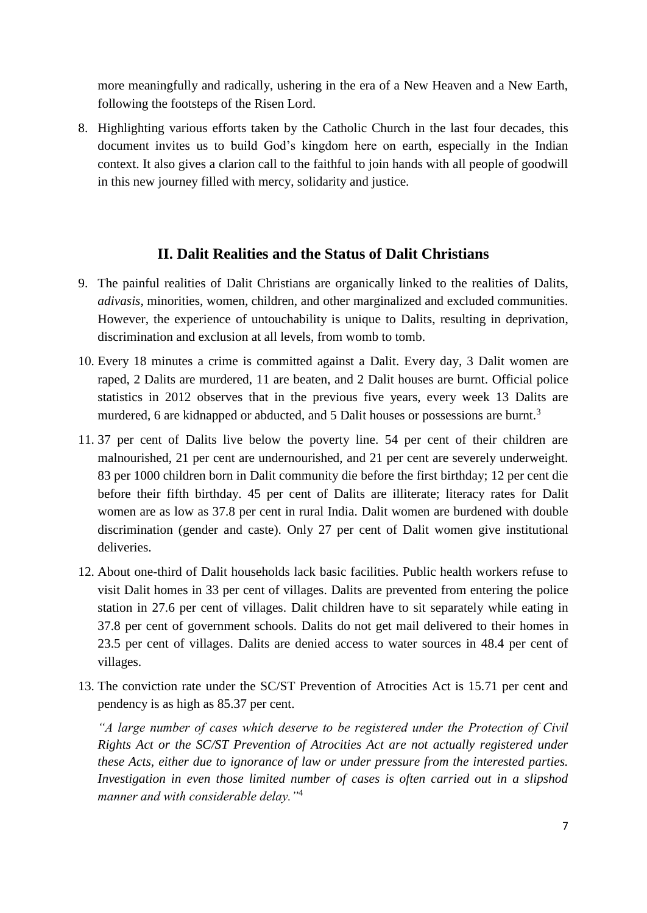more meaningfully and radically, ushering in the era of a New Heaven and a New Earth, following the footsteps of the Risen Lord.

8. Highlighting various efforts taken by the Catholic Church in the last four decades, this document invites us to build God's kingdom here on earth, especially in the Indian context. It also gives a clarion call to the faithful to join hands with all people of goodwill in this new journey filled with mercy, solidarity and justice.

# **II. Dalit Realities and the Status of Dalit Christians**

- 9. The painful realities of Dalit Christians are organically linked to the realities of Dalits, *adivasis*, minorities, women, children, and other marginalized and excluded communities. However, the experience of untouchability is unique to Dalits, resulting in deprivation, discrimination and exclusion at all levels, from womb to tomb.
- 10. Every 18 minutes a crime is committed against a Dalit. Every day, 3 Dalit women are raped, 2 Dalits are murdered, 11 are beaten, and 2 Dalit houses are burnt. Official police statistics in 2012 observes that in the previous five years, every week 13 Dalits are murdered, 6 are kidnapped or abducted, and 5 Dalit houses or possessions are burnt.<sup>3</sup>
- 11. 37 per cent of Dalits live below the poverty line. 54 per cent of their children are malnourished, 21 per cent are undernourished, and 21 per cent are severely underweight. 83 per 1000 children born in Dalit community die before the first birthday; 12 per cent die before their fifth birthday. 45 per cent of Dalits are illiterate; literacy rates for Dalit women are as low as 37.8 per cent in rural India. Dalit women are burdened with double discrimination (gender and caste). Only 27 per cent of Dalit women give institutional deliveries.
- 12. About one-third of Dalit households lack basic facilities. Public health workers refuse to visit Dalit homes in 33 per cent of villages. Dalits are prevented from entering the police station in 27.6 per cent of villages. Dalit children have to sit separately while eating in 37.8 per cent of government schools. Dalits do not get mail delivered to their homes in 23.5 per cent of villages. Dalits are denied access to water sources in 48.4 per cent of villages.
- 13. The conviction rate under the SC/ST Prevention of Atrocities Act is 15.71 per cent and pendency is as high as 85.37 per cent.

*"A large number of cases which deserve to be registered under the Protection of Civil Rights Act or the SC/ST Prevention of Atrocities Act are not actually registered under these Acts, either due to ignorance of law or under pressure from the interested parties. Investigation in even those limited number of cases is often carried out in a slipshod manner and with considerable delay."*<sup>4</sup>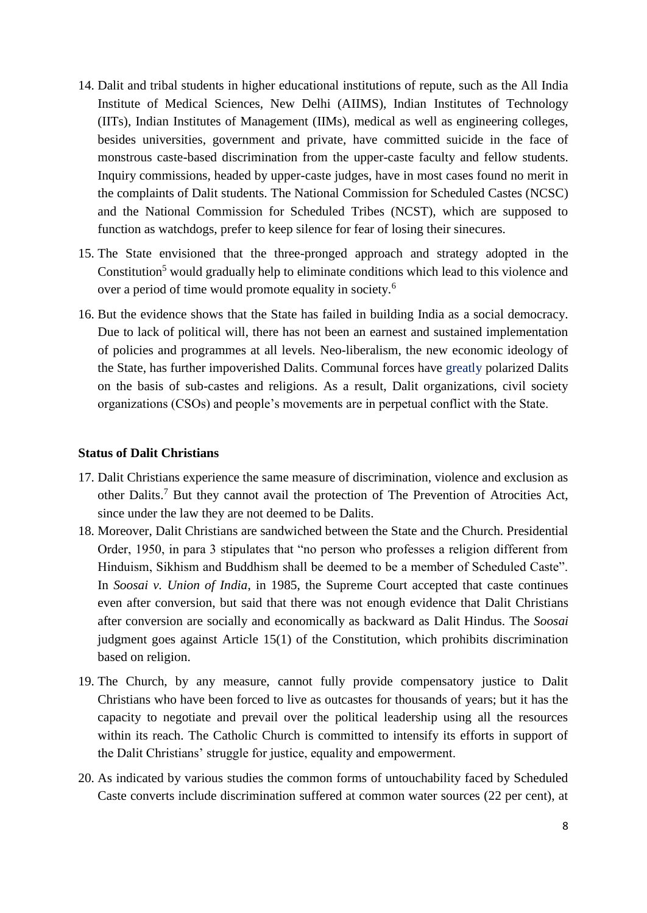- 14. Dalit and tribal students in higher educational institutions of repute, such as the All India Institute of Medical Sciences, New Delhi (AIIMS), Indian Institutes of Technology (IITs), Indian Institutes of Management (IIMs), medical as well as engineering colleges, besides universities, government and private, have committed suicide in the face of monstrous caste-based discrimination from the upper-caste faculty and fellow students. Inquiry commissions, headed by upper-caste judges, have in most cases found no merit in the complaints of Dalit students. The National Commission for Scheduled Castes (NCSC) and the National Commission for Scheduled Tribes (NCST), which are supposed to function as watchdogs, prefer to keep silence for fear of losing their sinecures.
- 15. The State envisioned that the three-pronged approach and strategy adopted in the Constitution<sup>5</sup> would gradually help to eliminate conditions which lead to this violence and over a period of time would promote equality in society.<sup>6</sup>
- 16. But the evidence shows that the State has failed in building India as a social democracy. Due to lack of political will, there has not been an earnest and sustained implementation of policies and programmes at all levels. Neo-liberalism, the new economic ideology of the State, has further impoverished Dalits. Communal forces have greatly polarized Dalits on the basis of sub-castes and religions. As a result, Dalit organizations, civil society organizations (CSOs) and people's movements are in perpetual conflict with the State.

#### **Status of Dalit Christians**

- 17. Dalit Christians experience the same measure of discrimination, violence and exclusion as other Dalits.<sup>7</sup> But they cannot avail the protection of The Prevention of Atrocities Act, since under the law they are not deemed to be Dalits.
- 18. Moreover, Dalit Christians are sandwiched between the State and the Church. Presidential Order, 1950, in para 3 stipulates that "no person who professes a religion different from Hinduism, Sikhism and Buddhism shall be deemed to be a member of Scheduled Caste". In *Soosai v. Union of India*, in 1985, the Supreme Court accepted that caste continues even after conversion, but said that there was not enough evidence that Dalit Christians after conversion are socially and economically as backward as Dalit Hindus. The *Soosai* judgment goes against Article 15(1) of the Constitution, which prohibits discrimination based on religion.
- 19. The Church, by any measure, cannot fully provide compensatory justice to Dalit Christians who have been forced to live as outcastes for thousands of years; but it has the capacity to negotiate and prevail over the political leadership using all the resources within its reach. The Catholic Church is committed to intensify its efforts in support of the Dalit Christians' struggle for justice, equality and empowerment.
- 20. As indicated by various studies the common forms of untouchability faced by Scheduled Caste converts include discrimination suffered at common water sources (22 per cent), at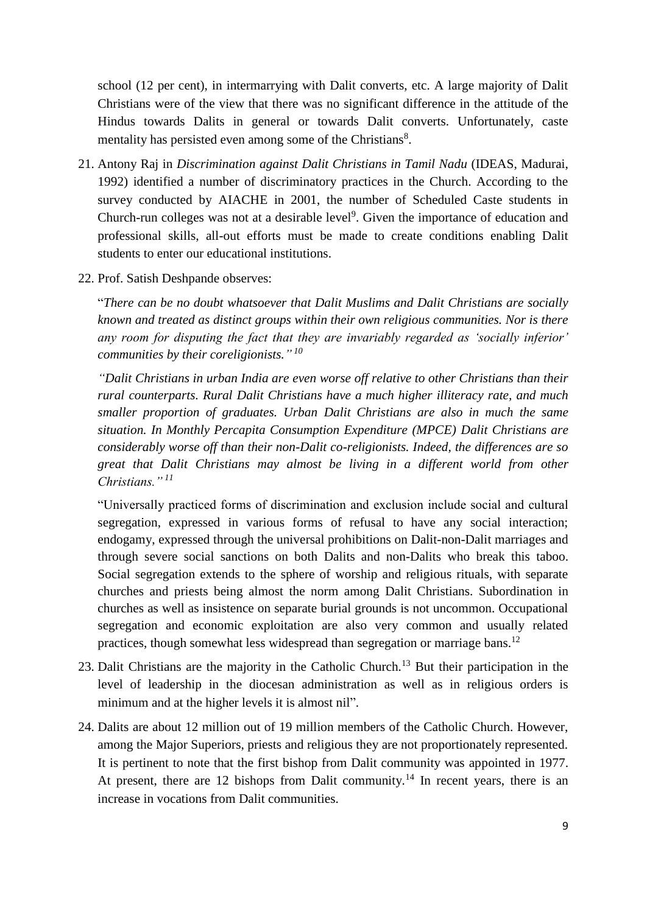school (12 per cent), in intermarrying with Dalit converts, etc. A large majority of Dalit Christians were of the view that there was no significant difference in the attitude of the Hindus towards Dalits in general or towards Dalit converts. Unfortunately, caste mentality has persisted even among some of the Christians<sup>8</sup>.

- 21. Antony Raj in *Discrimination against Dalit Christians in Tamil Nadu* (IDEAS, Madurai, 1992) identified a number of discriminatory practices in the Church. According to the survey conducted by AIACHE in 2001, the number of Scheduled Caste students in Church-run colleges was not at a desirable level<sup>9</sup>. Given the importance of education and professional skills, all-out efforts must be made to create conditions enabling Dalit students to enter our educational institutions.
- 22. Prof. Satish Deshpande observes:

"*There can be no doubt whatsoever that Dalit Muslims and Dalit Christians are socially known and treated as distinct groups within their own religious communities. Nor is there any room for disputing the fact that they are invariably regarded as 'socially inferior' communities by their coreligionists." 10*

*"Dalit Christians in urban India are even worse off relative to other Christians than their rural counterparts. Rural Dalit Christians have a much higher illiteracy rate, and much smaller proportion of graduates. Urban Dalit Christians are also in much the same situation. In Monthly Percapita Consumption Expenditure (MPCE) Dalit Christians are considerably worse off than their non-Dalit co-religionists. Indeed, the differences are so great that Dalit Christians may almost be living in a different world from other Christians." <sup>11</sup>*

"Universally practiced forms of discrimination and exclusion include social and cultural segregation, expressed in various forms of refusal to have any social interaction; endogamy, expressed through the universal prohibitions on Dalit-non-Dalit marriages and through severe social sanctions on both Dalits and non-Dalits who break this taboo. Social segregation extends to the sphere of worship and religious rituals, with separate churches and priests being almost the norm among Dalit Christians. Subordination in churches as well as insistence on separate burial grounds is not uncommon. Occupational segregation and economic exploitation are also very common and usually related practices, though somewhat less widespread than segregation or marriage bans.<sup>12</sup>

- 23. Dalit Christians are the majority in the Catholic Church.<sup>13</sup> But their participation in the level of leadership in the diocesan administration as well as in religious orders is minimum and at the higher levels it is almost nil".
- 24. Dalits are about 12 million out of 19 million members of the Catholic Church. However, among the Major Superiors, priests and religious they are not proportionately represented. It is pertinent to note that the first bishop from Dalit community was appointed in 1977. At present, there are 12 bishops from Dalit community.<sup>14</sup> In recent years, there is an increase in vocations from Dalit communities.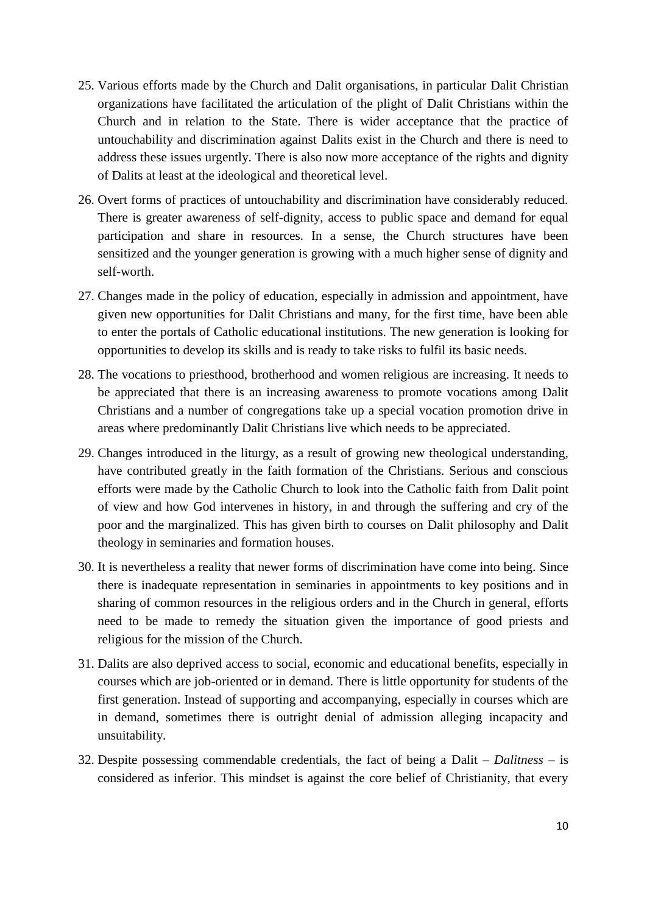- 25. Various efforts made by the Church and Dalit organisations, in particular Dalit Christian organizations have facilitated the articulation of the plight of Dalit Christians within the Church and in relation to the State. There is wider acceptance that the practice of untouchability and discrimination against Dalits exist in the Church and there is need to address these issues urgently. There is also now more acceptance of the rights and dignity of Dalits at least at the ideological and theoretical level.
- 26. Overt forms of practices of untouchability and discrimination have considerably reduced. There is greater awareness of self-dignity, access to public space and demand for equal participation and share in resources. In a sense, the Church structures have been sensitized and the younger generation is growing with a much higher sense of dignity and self-worth.
- 27. Changes made in the policy of education, especially in admission and appointment, have given new opportunities for Dalit Christians and many, for the first time, have been able to enter the portals of Catholic educational institutions. The new generation is looking for opportunities to develop its skills and is ready to take risks to fulfil its basic needs.
- 28. The vocations to priesthood, brotherhood and women religious are increasing. It needs to be appreciated that there is an increasing awareness to promote vocations among Dalit Christians and a number of congregations take up a special vocation promotion drive in areas where predominantly Dalit Christians live which needs to be appreciated.
- 29. Changes introduced in the liturgy, as a result of growing new theological understanding, have contributed greatly in the faith formation of the Christians. Serious and conscious efforts were made by the Catholic Church to look into the Catholic faith from Dalit point of view and how God intervenes in history, in and through the suffering and cry of the poor and the marginalized. This has given birth to courses on Dalit philosophy and Dalit theology in seminaries and formation houses.
- 30. It is nevertheless a reality that newer forms of discrimination have come into being. Since there is inadequate representation in seminaries in appointments to key positions and in sharing of common resources in the religious orders and in the Church in general, efforts need to be made to remedy the situation given the importance of good priests and religious for the mission of the Church.
- 31. Dalits are also deprived access to social, economic and educational benefits, especially in courses which are job-oriented or in demand. There is little opportunity for students of the first generation. Instead of supporting and accompanying, especially in courses which are in demand, sometimes there is outright denial of admission alleging incapacity and unsuitability.
- 32. Despite possessing commendable credentials, the fact of being a Dalit *Dalitness* is considered as inferior. This mindset is against the core belief of Christianity, that every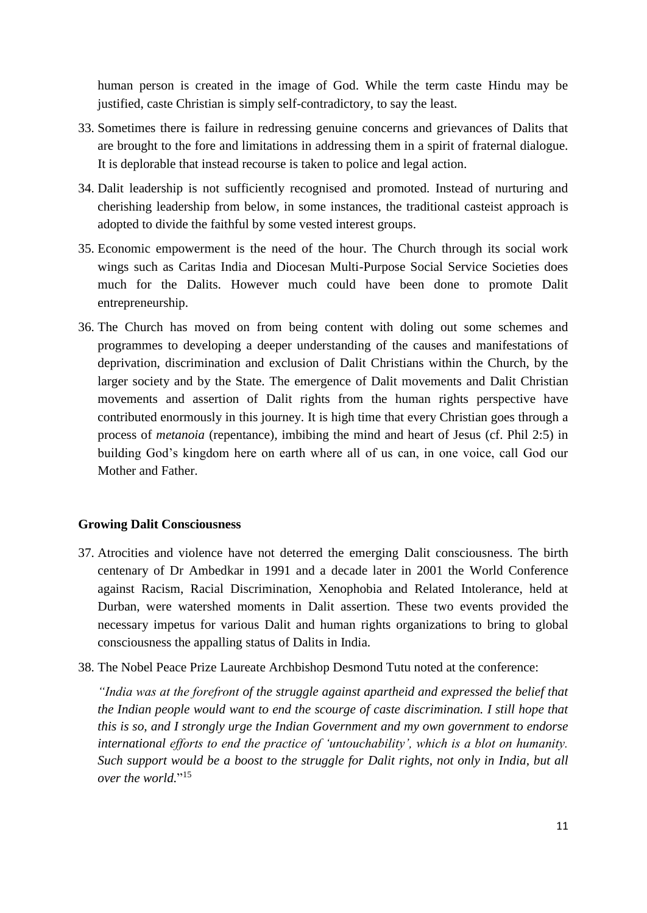human person is created in the image of God. While the term caste Hindu may be justified, caste Christian is simply self-contradictory, to say the least.

- 33. Sometimes there is failure in redressing genuine concerns and grievances of Dalits that are brought to the fore and limitations in addressing them in a spirit of fraternal dialogue. It is deplorable that instead recourse is taken to police and legal action.
- 34. Dalit leadership is not sufficiently recognised and promoted. Instead of nurturing and cherishing leadership from below, in some instances, the traditional casteist approach is adopted to divide the faithful by some vested interest groups.
- 35. Economic empowerment is the need of the hour. The Church through its social work wings such as Caritas India and Diocesan Multi-Purpose Social Service Societies does much for the Dalits. However much could have been done to promote Dalit entrepreneurship.
- 36. The Church has moved on from being content with doling out some schemes and programmes to developing a deeper understanding of the causes and manifestations of deprivation, discrimination and exclusion of Dalit Christians within the Church, by the larger society and by the State. The emergence of Dalit movements and Dalit Christian movements and assertion of Dalit rights from the human rights perspective have contributed enormously in this journey. It is high time that every Christian goes through a process of *metanoia* (repentance)*,* imbibing the mind and heart of Jesus (cf. Phil 2:5) in building God's kingdom here on earth where all of us can, in one voice, call God our Mother and Father.

#### **Growing Dalit Consciousness**

- 37. Atrocities and violence have not deterred the emerging Dalit consciousness. The birth centenary of Dr Ambedkar in 1991 and a decade later in 2001 the World Conference against Racism, Racial Discrimination, Xenophobia and Related Intolerance, held at Durban, were watershed moments in Dalit assertion. These two events provided the necessary impetus for various Dalit and human rights organizations to bring to global consciousness the appalling status of Dalits in India.
- 38. The Nobel Peace Prize Laureate Archbishop Desmond Tutu noted at the conference:

*"India was at the forefront of the struggle against apartheid and expressed the belief that the Indian people would want to end the scourge of caste discrimination. I still hope that this is so, and I strongly urge the Indian Government and my own government to endorse international efforts to end the practice of 'untouchability', which is a blot on humanity. Such support would be a boost to the struggle for Dalit rights, not only in India, but all over the world.*" 15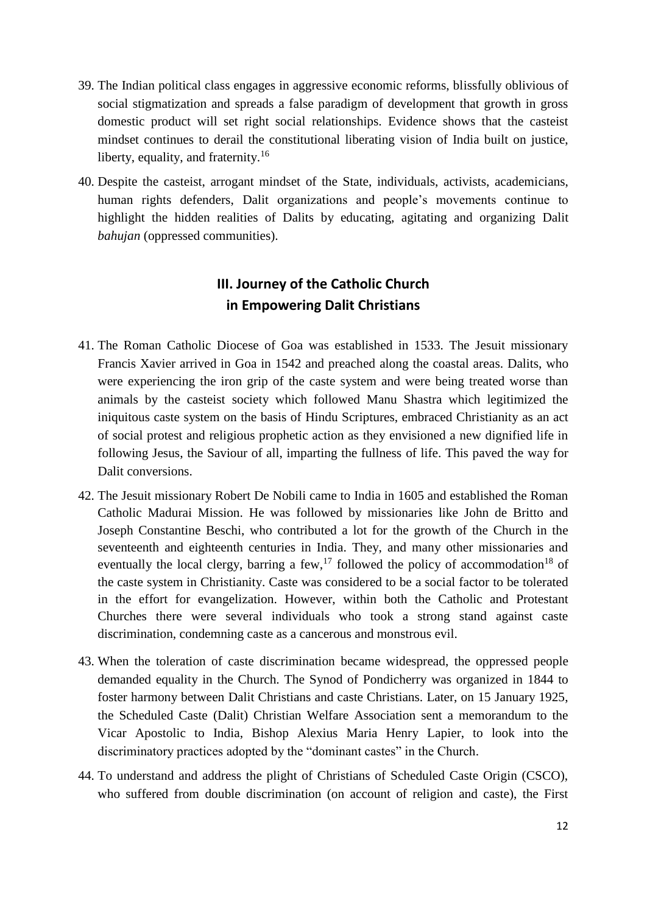- 39. The Indian political class engages in aggressive economic reforms, blissfully oblivious of social stigmatization and spreads a false paradigm of development that growth in gross domestic product will set right social relationships. Evidence shows that the casteist mindset continues to derail the constitutional liberating vision of India built on justice, liberty, equality, and fraternity.<sup>16</sup>
- 40. Despite the casteist, arrogant mindset of the State, individuals, activists, academicians, human rights defenders, Dalit organizations and people's movements continue to highlight the hidden realities of Dalits by educating, agitating and organizing Dalit *bahujan* (oppressed communities).

# **III. Journey of the Catholic Church in Empowering Dalit Christians**

- 41. The Roman Catholic Diocese of Goa was established in 1533. The Jesuit missionary Francis Xavier arrived in Goa in 1542 and preached along the coastal areas. Dalits, who were experiencing the iron grip of the caste system and were being treated worse than animals by the casteist society which followed Manu Shastra which legitimized the iniquitous caste system on the basis of Hindu Scriptures, embraced Christianity as an act of social protest and religious prophetic action as they envisioned a new dignified life in following Jesus, the Saviour of all, imparting the fullness of life. This paved the way for Dalit conversions.
- 42. The Jesuit missionary Robert De Nobili came to India in 1605 and established the Roman Catholic Madurai Mission. He was followed by missionaries like John de Britto and Joseph Constantine Beschi, who contributed a lot for the growth of the Church in the seventeenth and eighteenth centuries in India. They, and many other missionaries and eventually the local clergy, barring a few,  $^{17}$  followed the policy of accommodation<sup>18</sup> of the caste system in Christianity. Caste was considered to be a social factor to be tolerated in the effort for evangelization. However, within both the Catholic and Protestant Churches there were several individuals who took a strong stand against caste discrimination, condemning caste as a cancerous and monstrous evil.
- 43. When the toleration of caste discrimination became widespread, the oppressed people demanded equality in the Church. The Synod of Pondicherry was organized in 1844 to foster harmony between Dalit Christians and caste Christians. Later, on 15 January 1925, the Scheduled Caste (Dalit) Christian Welfare Association sent a memorandum to the Vicar Apostolic to India, Bishop Alexius Maria Henry Lapier, to look into the discriminatory practices adopted by the "dominant castes" in the Church.
- 44. To understand and address the plight of Christians of Scheduled Caste Origin (CSCO), who suffered from double discrimination (on account of religion and caste), the First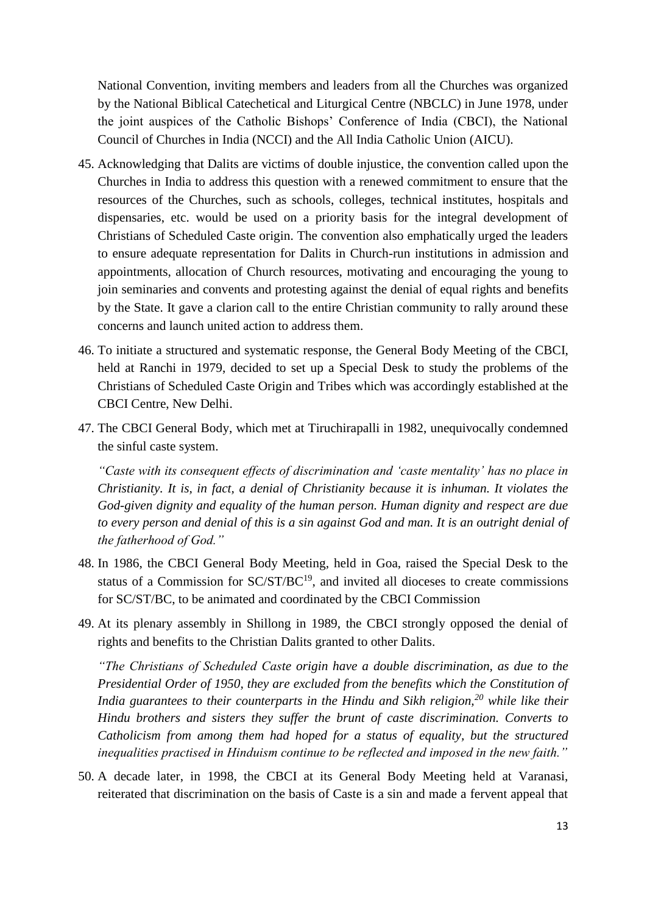National Convention, inviting members and leaders from all the Churches was organized by the National Biblical Catechetical and Liturgical Centre (NBCLC) in June 1978, under the joint auspices of the Catholic Bishops' Conference of India (CBCI), the National Council of Churches in India (NCCI) and the All India Catholic Union (AICU).

- 45. Acknowledging that Dalits are victims of double injustice, the convention called upon the Churches in India to address this question with a renewed commitment to ensure that the resources of the Churches, such as schools, colleges, technical institutes, hospitals and dispensaries, etc. would be used on a priority basis for the integral development of Christians of Scheduled Caste origin. The convention also emphatically urged the leaders to ensure adequate representation for Dalits in Church-run institutions in admission and appointments, allocation of Church resources, motivating and encouraging the young to join seminaries and convents and protesting against the denial of equal rights and benefits by the State. It gave a clarion call to the entire Christian community to rally around these concerns and launch united action to address them.
- 46. To initiate a structured and systematic response, the General Body Meeting of the CBCI, held at Ranchi in 1979, decided to set up a Special Desk to study the problems of the Christians of Scheduled Caste Origin and Tribes which was accordingly established at the CBCI Centre, New Delhi.
- 47. The CBCI General Body, which met at Tiruchirapalli in 1982, unequivocally condemned the sinful caste system.

*"Caste with its consequent effects of discrimination and 'caste mentality' has no place in Christianity. It is, in fact, a denial of Christianity because it is inhuman. It violates the God-given dignity and equality of the human person. Human dignity and respect are due to every person and denial of this is a sin against God and man. It is an outright denial of the fatherhood of God."*

- 48. In 1986, the CBCI General Body Meeting, held in Goa, raised the Special Desk to the status of a Commission for  $SC/ST/BC^{19}$ , and invited all dioceses to create commissions for SC/ST/BC, to be animated and coordinated by the CBCI Commission
- 49. At its plenary assembly in Shillong in 1989, the CBCI strongly opposed the denial of rights and benefits to the Christian Dalits granted to other Dalits.

*"The Christians of Scheduled Caste origin have a double discrimination, as due to the Presidential Order of 1950, they are excluded from the benefits which the Constitution of India guarantees to their counterparts in the Hindu and Sikh religion,<sup>20</sup> while like their Hindu brothers and sisters they suffer the brunt of caste discrimination. Converts to Catholicism from among them had hoped for a status of equality, but the structured inequalities practised in Hinduism continue to be reflected and imposed in the new faith."*

50. A decade later, in 1998, the CBCI at its General Body Meeting held at Varanasi, reiterated that discrimination on the basis of Caste is a sin and made a fervent appeal that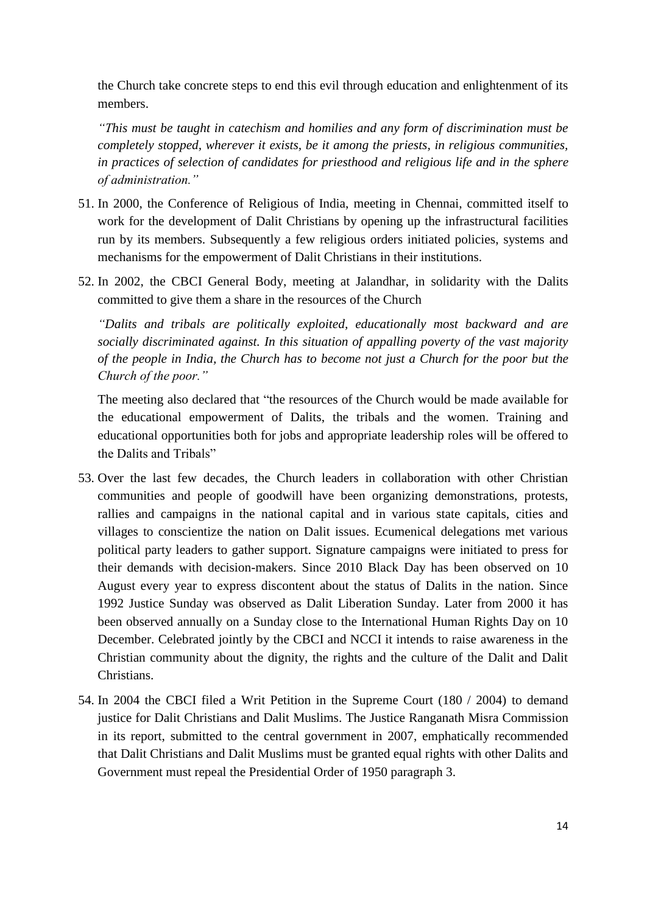the Church take concrete steps to end this evil through education and enlightenment of its members.

*"This must be taught in catechism and homilies and any form of discrimination must be completely stopped, wherever it exists, be it among the priests, in religious communities, in practices of selection of candidates for priesthood and religious life and in the sphere of administration."* 

- 51. In 2000, the Conference of Religious of India, meeting in Chennai, committed itself to work for the development of Dalit Christians by opening up the infrastructural facilities run by its members. Subsequently a few religious orders initiated policies, systems and mechanisms for the empowerment of Dalit Christians in their institutions.
- 52. In 2002, the CBCI General Body, meeting at Jalandhar, in solidarity with the Dalits committed to give them a share in the resources of the Church

*"Dalits and tribals are politically exploited, educationally most backward and are socially discriminated against. In this situation of appalling poverty of the vast majority of the people in India, the Church has to become not just a Church for the poor but the Church of the poor."* 

The meeting also declared that "the resources of the Church would be made available for the educational empowerment of Dalits, the tribals and the women. Training and educational opportunities both for jobs and appropriate leadership roles will be offered to the Dalits and Tribals"

- 53. Over the last few decades, the Church leaders in collaboration with other Christian communities and people of goodwill have been organizing demonstrations, protests, rallies and campaigns in the national capital and in various state capitals, cities and villages to conscientize the nation on Dalit issues. Ecumenical delegations met various political party leaders to gather support. Signature campaigns were initiated to press for their demands with decision-makers. Since 2010 Black Day has been observed on 10 August every year to express discontent about the status of Dalits in the nation. Since 1992 Justice Sunday was observed as Dalit Liberation Sunday. Later from 2000 it has been observed annually on a Sunday close to the International Human Rights Day on 10 December. Celebrated jointly by the CBCI and NCCI it intends to raise awareness in the Christian community about the dignity, the rights and the culture of the Dalit and Dalit Christians.
- 54. In 2004 the CBCI filed a Writ Petition in the Supreme Court (180 / 2004) to demand justice for Dalit Christians and Dalit Muslims. The Justice Ranganath Misra Commission in its report, submitted to the central government in 2007, emphatically recommended that Dalit Christians and Dalit Muslims must be granted equal rights with other Dalits and Government must repeal the Presidential Order of 1950 paragraph 3.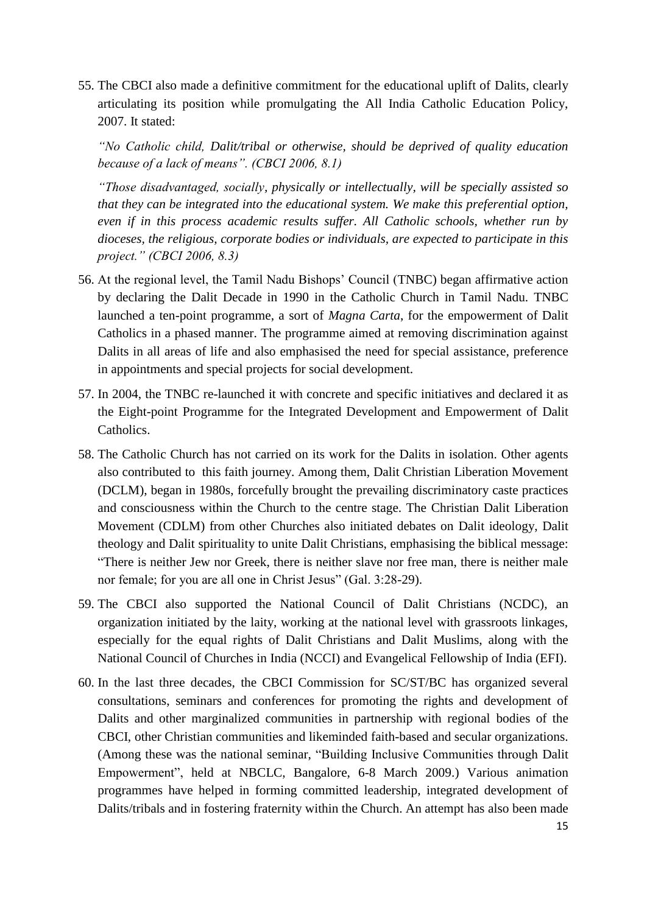55. The CBCI also made a definitive commitment for the educational uplift of Dalits, clearly articulating its position while promulgating the All India Catholic Education Policy, 2007. It stated:

*"No Catholic child, Dalit/tribal or otherwise, should be deprived of quality education because of a lack of means". (CBCI 2006, 8.1)*

*"Those disadvantaged, socially, physically or intellectually, will be specially assisted so that they can be integrated into the educational system. We make this preferential option, even if in this process academic results suffer. All Catholic schools, whether run by dioceses, the religious, corporate bodies or individuals, are expected to participate in this project." (CBCI 2006, 8.3)*

- 56. At the regional level, the Tamil Nadu Bishops' Council (TNBC) began affirmative action by declaring the Dalit Decade in 1990 in the Catholic Church in Tamil Nadu. TNBC launched a ten-point programme, a sort of *Magna Carta*, for the empowerment of Dalit Catholics in a phased manner. The programme aimed at removing discrimination against Dalits in all areas of life and also emphasised the need for special assistance, preference in appointments and special projects for social development.
- 57. In 2004, the TNBC re-launched it with concrete and specific initiatives and declared it as the Eight-point Programme for the Integrated Development and Empowerment of Dalit Catholics.
- 58. The Catholic Church has not carried on its work for the Dalits in isolation. Other agents also contributed to this faith journey. Among them, Dalit Christian Liberation Movement (DCLM), began in 1980s, forcefully brought the prevailing discriminatory caste practices and consciousness within the Church to the centre stage. The Christian Dalit Liberation Movement (CDLM) from other Churches also initiated debates on Dalit ideology, Dalit theology and Dalit spirituality to unite Dalit Christians, emphasising the biblical message: "There is neither Jew nor Greek, there is neither slave nor free man, there is neither male nor female; for you are all one in Christ Jesus" (Gal. 3:28-29).
- 59. The CBCI also supported the National Council of Dalit Christians (NCDC), an organization initiated by the laity, working at the national level with grassroots linkages, especially for the equal rights of Dalit Christians and Dalit Muslims, along with the National Council of Churches in India (NCCI) and Evangelical Fellowship of India (EFI).
- 60. In the last three decades, the CBCI Commission for SC/ST/BC has organized several consultations, seminars and conferences for promoting the rights and development of Dalits and other marginalized communities in partnership with regional bodies of the CBCI, other Christian communities and likeminded faith-based and secular organizations. (Among these was the national seminar, "Building Inclusive Communities through Dalit Empowerment", held at NBCLC, Bangalore, 6-8 March 2009.) Various animation programmes have helped in forming committed leadership, integrated development of Dalits/tribals and in fostering fraternity within the Church. An attempt has also been made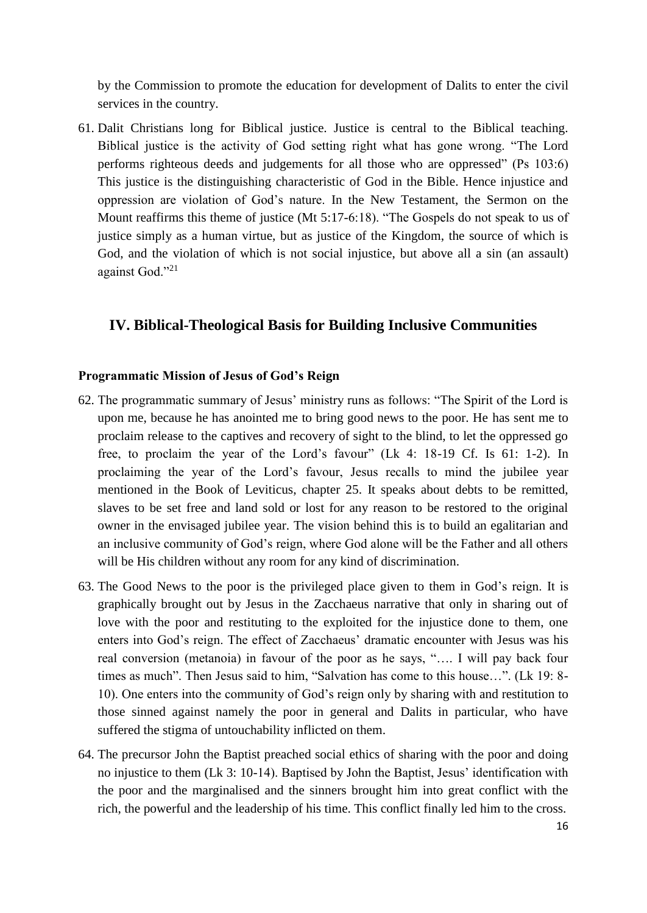by the Commission to promote the education for development of Dalits to enter the civil services in the country.

61. Dalit Christians long for Biblical justice. Justice is central to the Biblical teaching. Biblical justice is the activity of God setting right what has gone wrong. "The Lord performs righteous deeds and judgements for all those who are oppressed" (Ps 103:6) This justice is the distinguishing characteristic of God in the Bible. Hence injustice and oppression are violation of God's nature. In the New Testament, the Sermon on the Mount reaffirms this theme of justice (Mt 5:17-6:18). "The Gospels do not speak to us of justice simply as a human virtue, but as justice of the Kingdom, the source of which is God, and the violation of which is not social injustice, but above all a sin (an assault) against God."<sup>21</sup>

#### **IV. Biblical-Theological Basis for Building Inclusive Communities**

#### **Programmatic Mission of Jesus of God's Reign**

- 62. The programmatic summary of Jesus' ministry runs as follows: "The Spirit of the Lord is upon me, because he has anointed me to bring good news to the poor. He has sent me to proclaim release to the captives and recovery of sight to the blind, to let the oppressed go free, to proclaim the year of the Lord's favour" (Lk 4: 18-19 Cf. Is 61: 1-2). In proclaiming the year of the Lord's favour, Jesus recalls to mind the jubilee year mentioned in the Book of Leviticus, chapter 25. It speaks about debts to be remitted, slaves to be set free and land sold or lost for any reason to be restored to the original owner in the envisaged jubilee year. The vision behind this is to build an egalitarian and an inclusive community of God's reign, where God alone will be the Father and all others will be His children without any room for any kind of discrimination.
- 63. The Good News to the poor is the privileged place given to them in God's reign. It is graphically brought out by Jesus in the Zacchaeus narrative that only in sharing out of love with the poor and restituting to the exploited for the injustice done to them, one enters into God's reign. The effect of Zacchaeus' dramatic encounter with Jesus was his real conversion (metanoia) in favour of the poor as he says, "…. I will pay back four times as much". Then Jesus said to him, "Salvation has come to this house…". (Lk 19: 8- 10). One enters into the community of God's reign only by sharing with and restitution to those sinned against namely the poor in general and Dalits in particular, who have suffered the stigma of untouchability inflicted on them.
- 64. The precursor John the Baptist preached social ethics of sharing with the poor and doing no injustice to them (Lk 3: 10-14). Baptised by John the Baptist, Jesus' identification with the poor and the marginalised and the sinners brought him into great conflict with the rich, the powerful and the leadership of his time. This conflict finally led him to the cross.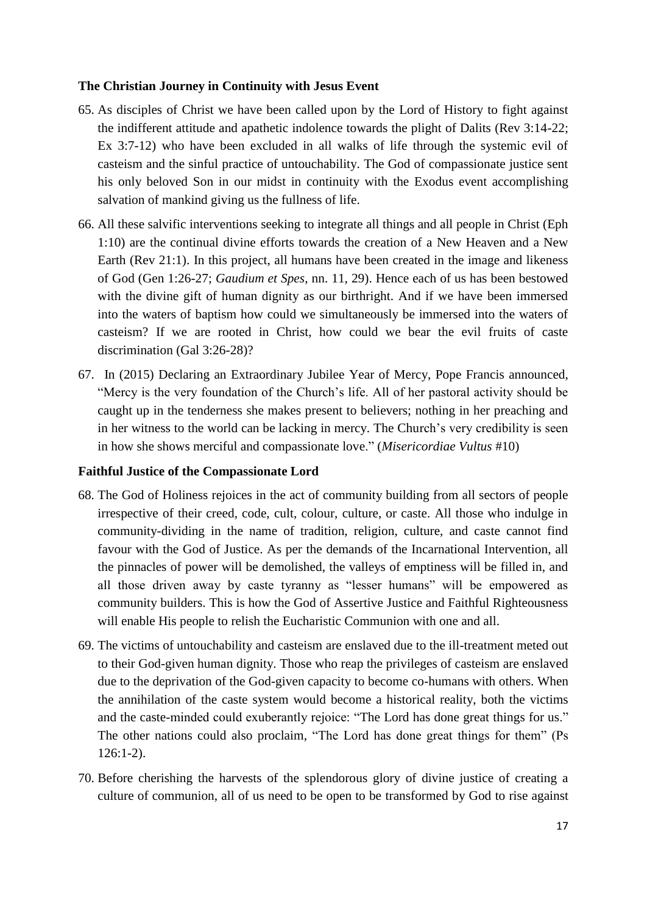#### **The Christian Journey in Continuity with Jesus Event**

- 65. As disciples of Christ we have been called upon by the Lord of History to fight against the indifferent attitude and apathetic indolence towards the plight of Dalits (Rev 3:14-22; Ex 3:7-12) who have been excluded in all walks of life through the systemic evil of casteism and the sinful practice of untouchability. The God of compassionate justice sent his only beloved Son in our midst in continuity with the Exodus event accomplishing salvation of mankind giving us the fullness of life.
- 66. All these salvific interventions seeking to integrate all things and all people in Christ (Eph 1:10) are the continual divine efforts towards the creation of a New Heaven and a New Earth (Rev 21:1). In this project, all humans have been created in the image and likeness of God (Gen 1:26-27; *Gaudium et Spes*, nn. 11, 29). Hence each of us has been bestowed with the divine gift of human dignity as our birthright. And if we have been immersed into the waters of baptism how could we simultaneously be immersed into the waters of casteism? If we are rooted in Christ, how could we bear the evil fruits of caste discrimination (Gal 3:26-28)?
- 67. In (2015) Declaring an Extraordinary Jubilee Year of Mercy, Pope Francis announced, "Mercy is the very foundation of the Church's life. All of her pastoral activity should be caught up in the tenderness she makes present to believers; nothing in her preaching and in her witness to the world can be lacking in mercy. The Church's very credibility is seen in how she shows merciful and compassionate love." (*Misericordiae Vultus* #10)

#### **Faithful Justice of the Compassionate Lord**

- 68. The God of Holiness rejoices in the act of community building from all sectors of people irrespective of their creed, code, cult, colour, culture, or caste. All those who indulge in community-dividing in the name of tradition, religion, culture, and caste cannot find favour with the God of Justice. As per the demands of the Incarnational Intervention, all the pinnacles of power will be demolished, the valleys of emptiness will be filled in, and all those driven away by caste tyranny as "lesser humans" will be empowered as community builders. This is how the God of Assertive Justice and Faithful Righteousness will enable His people to relish the Eucharistic Communion with one and all.
- 69. The victims of untouchability and casteism are enslaved due to the ill-treatment meted out to their God-given human dignity. Those who reap the privileges of casteism are enslaved due to the deprivation of the God-given capacity to become co-humans with others. When the annihilation of the caste system would become a historical reality, both the victims and the caste-minded could exuberantly rejoice: "The Lord has done great things for us." The other nations could also proclaim, "The Lord has done great things for them" (Ps 126:1-2).
- 70. Before cherishing the harvests of the splendorous glory of divine justice of creating a culture of communion, all of us need to be open to be transformed by God to rise against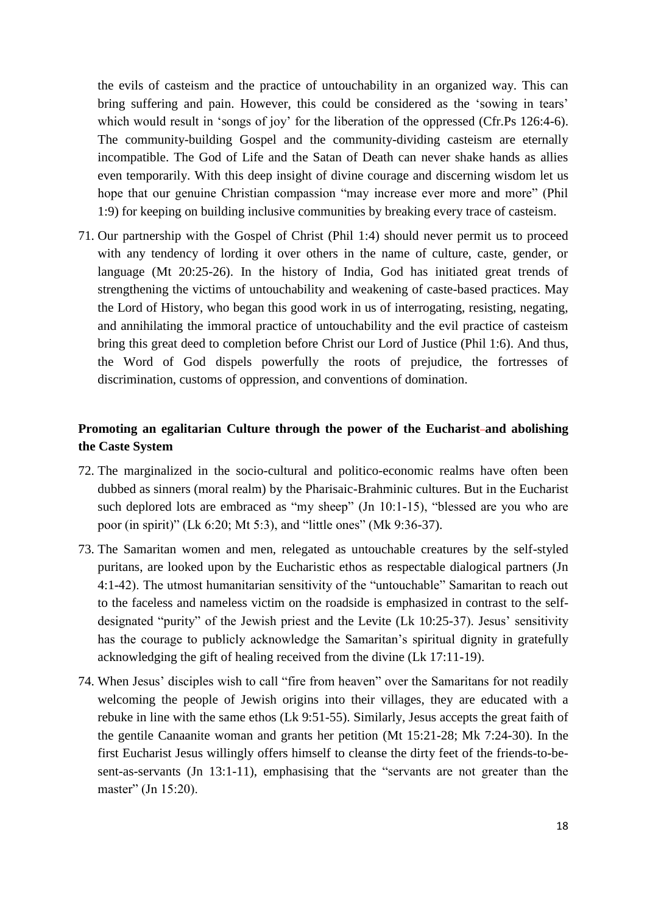the evils of casteism and the practice of untouchability in an organized way. This can bring suffering and pain. However, this could be considered as the 'sowing in tears' which would result in 'songs of joy' for the liberation of the oppressed (Cfr.Ps 126:4-6). The community-building Gospel and the community-dividing casteism are eternally incompatible. The God of Life and the Satan of Death can never shake hands as allies even temporarily. With this deep insight of divine courage and discerning wisdom let us hope that our genuine Christian compassion "may increase ever more and more" (Phil 1:9) for keeping on building inclusive communities by breaking every trace of casteism.

71. Our partnership with the Gospel of Christ (Phil 1:4) should never permit us to proceed with any tendency of lording it over others in the name of culture, caste, gender, or language (Mt 20:25-26). In the history of India, God has initiated great trends of strengthening the victims of untouchability and weakening of caste-based practices. May the Lord of History, who began this good work in us of interrogating, resisting, negating, and annihilating the immoral practice of untouchability and the evil practice of casteism bring this great deed to completion before Christ our Lord of Justice (Phil 1:6). And thus, the Word of God dispels powerfully the roots of prejudice, the fortresses of discrimination, customs of oppression, and conventions of domination.

# **Promoting an egalitarian Culture through the power of the Eucharist and abolishing the Caste System**

- 72. The marginalized in the socio-cultural and politico-economic realms have often been dubbed as sinners (moral realm) by the Pharisaic-Brahminic cultures. But in the Eucharist such deplored lots are embraced as "my sheep" (Jn 10:1-15), "blessed are you who are poor (in spirit)" (Lk 6:20; Mt 5:3), and "little ones" (Mk 9:36-37).
- 73. The Samaritan women and men, relegated as untouchable creatures by the self-styled puritans, are looked upon by the Eucharistic ethos as respectable dialogical partners (Jn 4:1-42). The utmost humanitarian sensitivity of the "untouchable" Samaritan to reach out to the faceless and nameless victim on the roadside is emphasized in contrast to the selfdesignated "purity" of the Jewish priest and the Levite (Lk 10:25-37). Jesus' sensitivity has the courage to publicly acknowledge the Samaritan's spiritual dignity in gratefully acknowledging the gift of healing received from the divine (Lk 17:11-19).
- 74. When Jesus' disciples wish to call "fire from heaven" over the Samaritans for not readily welcoming the people of Jewish origins into their villages, they are educated with a rebuke in line with the same ethos (Lk 9:51-55). Similarly, Jesus accepts the great faith of the gentile Canaanite woman and grants her petition (Mt 15:21-28; Mk 7:24-30). In the first Eucharist Jesus willingly offers himself to cleanse the dirty feet of the friends-to-besent-as-servants (Jn 13:1-11), emphasising that the "servants are not greater than the master" (Jn 15:20).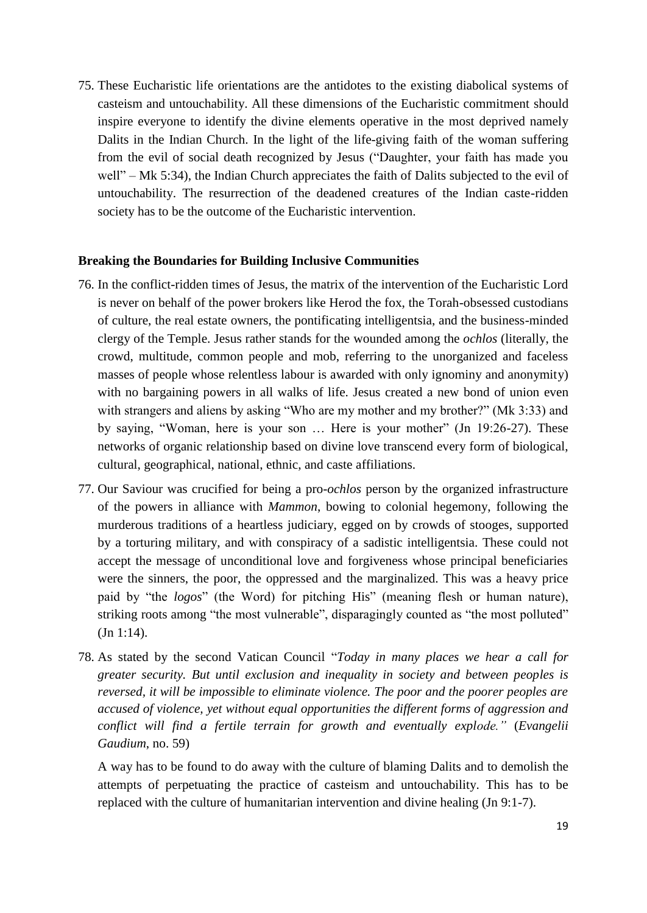75. These Eucharistic life orientations are the antidotes to the existing diabolical systems of casteism and untouchability. All these dimensions of the Eucharistic commitment should inspire everyone to identify the divine elements operative in the most deprived namely Dalits in the Indian Church. In the light of the life-giving faith of the woman suffering from the evil of social death recognized by Jesus ("Daughter, your faith has made you well" – Mk 5:34), the Indian Church appreciates the faith of Dalits subjected to the evil of untouchability. The resurrection of the deadened creatures of the Indian caste-ridden society has to be the outcome of the Eucharistic intervention.

#### **Breaking the Boundaries for Building Inclusive Communities**

- 76. In the conflict-ridden times of Jesus, the matrix of the intervention of the Eucharistic Lord is never on behalf of the power brokers like Herod the fox, the Torah-obsessed custodians of culture, the real estate owners, the pontificating intelligentsia, and the business-minded clergy of the Temple. Jesus rather stands for the wounded among the *ochlos* (literally, the crowd, multitude, common people and mob, referring to the unorganized and faceless masses of people whose relentless labour is awarded with only ignominy and anonymity) with no bargaining powers in all walks of life. Jesus created a new bond of union even with strangers and aliens by asking "Who are my mother and my brother?" (Mk 3:33) and by saying, "Woman, here is your son … Here is your mother" (Jn 19:26-27). These networks of organic relationship based on divine love transcend every form of biological, cultural, geographical, national, ethnic, and caste affiliations.
- 77. Our Saviour was crucified for being a pro-*ochlos* person by the organized infrastructure of the powers in alliance with *Mammon*, bowing to colonial hegemony, following the murderous traditions of a heartless judiciary, egged on by crowds of stooges, supported by a torturing military, and with conspiracy of a sadistic intelligentsia. These could not accept the message of unconditional love and forgiveness whose principal beneficiaries were the sinners, the poor, the oppressed and the marginalized. This was a heavy price paid by "the *logos*" (the Word) for pitching His" (meaning flesh or human nature), striking roots among "the most vulnerable", disparagingly counted as "the most polluted" (Jn 1:14).
- 78. As stated by the second Vatican Council "*Today in many places we hear a call for greater security. But until exclusion and inequality in society and between peoples is reversed, it will be impossible to eliminate violence. The poor and the poorer peoples are accused of violence, yet without equal opportunities the different forms of aggression and conflict will find a fertile terrain for growth and eventually explode."* (*Evangelii Gaudium*, no. 59)

A way has to be found to do away with the culture of blaming Dalits and to demolish the attempts of perpetuating the practice of casteism and untouchability. This has to be replaced with the culture of humanitarian intervention and divine healing (Jn 9:1-7).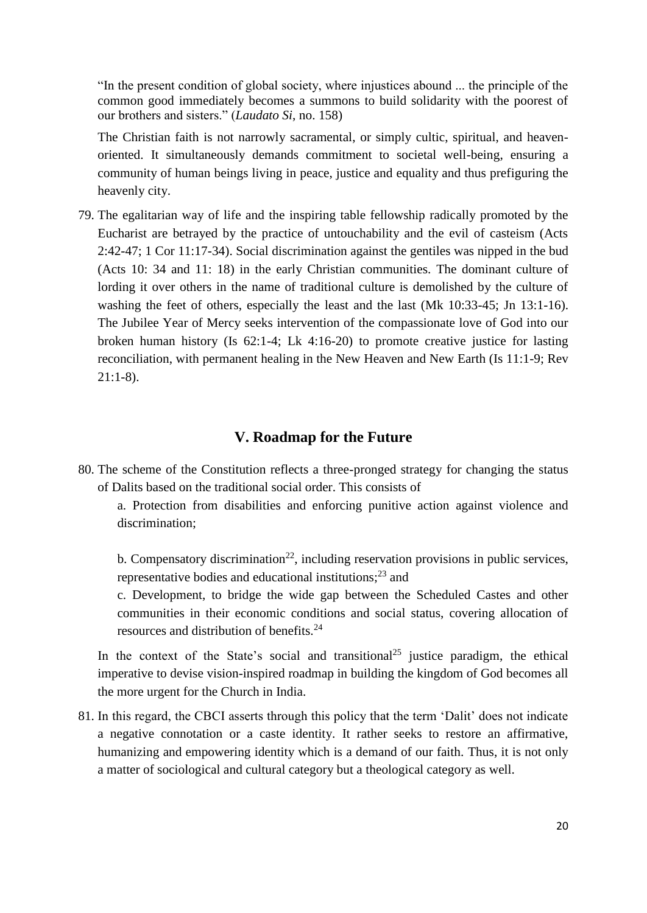"In the present condition of global society, where injustices abound ... the principle of the common good immediately becomes a summons to build solidarity with the poorest of our brothers and sisters." (*Laudato Si*, no. 158)

The Christian faith is not narrowly sacramental, or simply cultic, spiritual, and heavenoriented. It simultaneously demands commitment to societal well-being, ensuring a community of human beings living in peace, justice and equality and thus prefiguring the heavenly city.

79. The egalitarian way of life and the inspiring table fellowship radically promoted by the Eucharist are betrayed by the practice of untouchability and the evil of casteism (Acts 2:42-47; 1 Cor 11:17-34). Social discrimination against the gentiles was nipped in the bud (Acts 10: 34 and 11: 18) in the early Christian communities. The dominant culture of lording it over others in the name of traditional culture is demolished by the culture of washing the feet of others, especially the least and the last (Mk 10:33-45; Jn 13:1-16). The Jubilee Year of Mercy seeks intervention of the compassionate love of God into our broken human history (Is 62:1-4; Lk 4:16-20) to promote creative justice for lasting reconciliation, with permanent healing in the New Heaven and New Earth (Is 11:1-9; Rev  $21:1-8$ ).

#### **V. Roadmap for the Future**

80. The scheme of the Constitution reflects a three-pronged strategy for changing the status of Dalits based on the traditional social order. This consists of

a. Protection from disabilities and enforcing punitive action against violence and discrimination;

b. Compensatory discrimination<sup>22</sup>, including reservation provisions in public services, representative bodies and educational institutions;<sup>23</sup> and

c. Development, to bridge the wide gap between the Scheduled Castes and other communities in their economic conditions and social status, covering allocation of resources and distribution of benefits.<sup>24</sup>

In the context of the State's social and transitional<sup>25</sup> justice paradigm, the ethical imperative to devise vision-inspired roadmap in building the kingdom of God becomes all the more urgent for the Church in India.

81. In this regard, the CBCI asserts through this policy that the term 'Dalit' does not indicate a negative connotation or a caste identity. It rather seeks to restore an affirmative, humanizing and empowering identity which is a demand of our faith. Thus, it is not only a matter of sociological and cultural category but a theological category as well.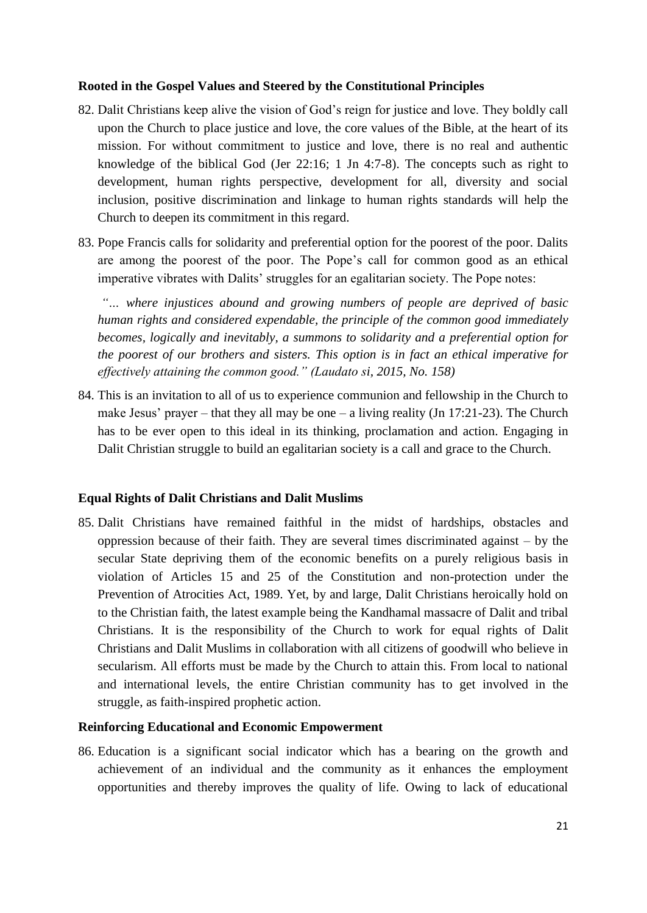#### **Rooted in the Gospel Values and Steered by the Constitutional Principles**

- 82. Dalit Christians keep alive the vision of God's reign for justice and love. They boldly call upon the Church to place justice and love, the core values of the Bible, at the heart of its mission. For without commitment to justice and love, there is no real and authentic knowledge of the biblical God (Jer  $22:16$ ; 1 Jn  $4:7-8$ ). The concepts such as right to development, human rights perspective, development for all, diversity and social inclusion, positive discrimination and linkage to human rights standards will help the Church to deepen its commitment in this regard.
- 83. Pope Francis calls for solidarity and preferential option for the poorest of the poor. Dalits are among the poorest of the poor. The Pope's call for common good as an ethical imperative vibrates with Dalits' struggles for an egalitarian society. The Pope notes:

*"… where injustices abound and growing numbers of people are deprived of basic human rights and considered expendable, the principle of the common good immediately becomes, logically and inevitably, a summons to solidarity and a preferential option for the poorest of our brothers and sisters. This option is in fact an ethical imperative for effectively attaining the common good." (Laudato si, 2015, No. 158)* 

84. This is an invitation to all of us to experience communion and fellowship in the Church to make Jesus' prayer – that they all may be one – a living reality (Jn  $17:21-23$ ). The Church has to be ever open to this ideal in its thinking, proclamation and action. Engaging in Dalit Christian struggle to build an egalitarian society is a call and grace to the Church.

# **Equal Rights of Dalit Christians and Dalit Muslims**

85. Dalit Christians have remained faithful in the midst of hardships, obstacles and oppression because of their faith. They are several times discriminated against – by the secular State depriving them of the economic benefits on a purely religious basis in violation of Articles 15 and 25 of the Constitution and non-protection under the Prevention of Atrocities Act, 1989. Yet, by and large, Dalit Christians heroically hold on to the Christian faith, the latest example being the Kandhamal massacre of Dalit and tribal Christians. It is the responsibility of the Church to work for equal rights of Dalit Christians and Dalit Muslims in collaboration with all citizens of goodwill who believe in secularism. All efforts must be made by the Church to attain this. From local to national and international levels, the entire Christian community has to get involved in the struggle, as faith-inspired prophetic action.

#### **Reinforcing Educational and Economic Empowerment**

86. Education is a significant social indicator which has a bearing on the growth and achievement of an individual and the community as it enhances the employment opportunities and thereby improves the quality of life. Owing to lack of educational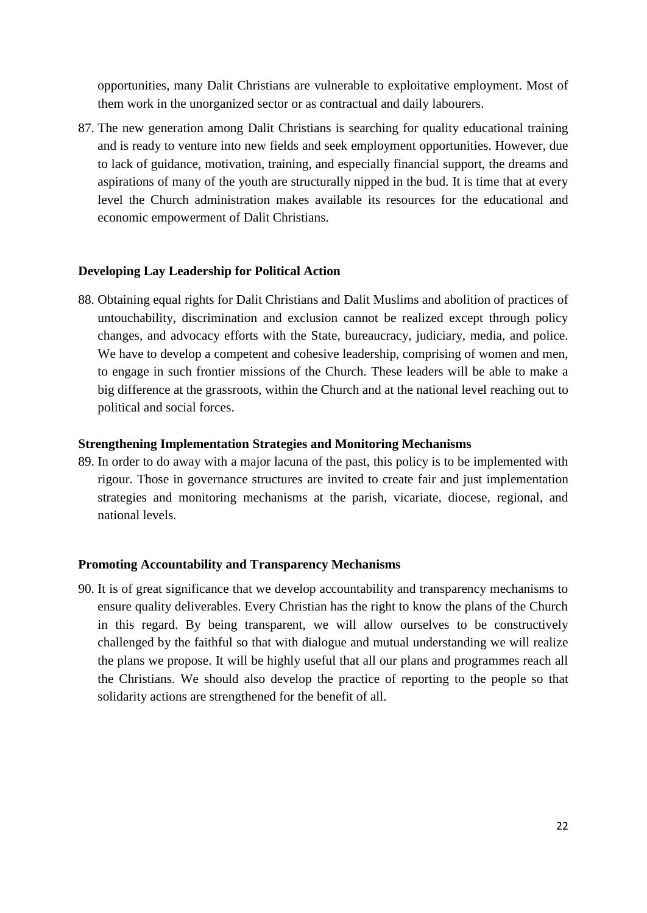opportunities, many Dalit Christians are vulnerable to exploitative employment. Most of them work in the unorganized sector or as contractual and daily labourers.

87. The new generation among Dalit Christians is searching for quality educational training and is ready to venture into new fields and seek employment opportunities. However, due to lack of guidance, motivation, training, and especially financial support, the dreams and aspirations of many of the youth are structurally nipped in the bud. It is time that at every level the Church administration makes available its resources for the educational and economic empowerment of Dalit Christians.

#### **Developing Lay Leadership for Political Action**

88. Obtaining equal rights for Dalit Christians and Dalit Muslims and abolition of practices of untouchability, discrimination and exclusion cannot be realized except through policy changes, and advocacy efforts with the State, bureaucracy, judiciary, media, and police. We have to develop a competent and cohesive leadership, comprising of women and men, to engage in such frontier missions of the Church. These leaders will be able to make a big difference at the grassroots, within the Church and at the national level reaching out to political and social forces.

#### **Strengthening Implementation Strategies and Monitoring Mechanisms**

89. In order to do away with a major lacuna of the past, this policy is to be implemented with rigour. Those in governance structures are invited to create fair and just implementation strategies and monitoring mechanisms at the parish, vicariate, diocese, regional, and national levels.

# **Promoting Accountability and Transparency Mechanisms**

90. It is of great significance that we develop accountability and transparency mechanisms to ensure quality deliverables. Every Christian has the right to know the plans of the Church in this regard. By being transparent, we will allow ourselves to be constructively challenged by the faithful so that with dialogue and mutual understanding we will realize the plans we propose. It will be highly useful that all our plans and programmes reach all the Christians. We should also develop the practice of reporting to the people so that solidarity actions are strengthened for the benefit of all.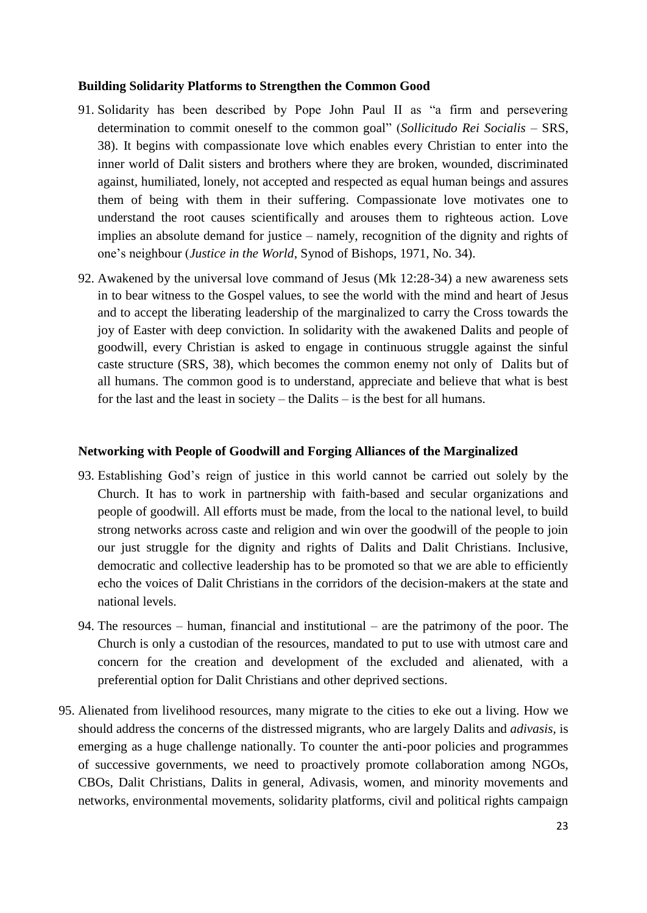#### **Building Solidarity Platforms to Strengthen the Common Good**

- 91. Solidarity has been described by Pope John Paul II as "a firm and persevering determination to commit oneself to the common goal" (*Sollicitudo Rei Socialis* – SRS, 38). It begins with compassionate love which enables every Christian to enter into the inner world of Dalit sisters and brothers where they are broken, wounded, discriminated against, humiliated, lonely, not accepted and respected as equal human beings and assures them of being with them in their suffering. Compassionate love motivates one to understand the root causes scientifically and arouses them to righteous action. Love implies an absolute demand for justice – namely, recognition of the dignity and rights of one's neighbour (*Justice in the World*, Synod of Bishops, 1971, No. 34).
- 92. Awakened by the universal love command of Jesus (Mk 12:28-34) a new awareness sets in to bear witness to the Gospel values, to see the world with the mind and heart of Jesus and to accept the liberating leadership of the marginalized to carry the Cross towards the joy of Easter with deep conviction. In solidarity with the awakened Dalits and people of goodwill, every Christian is asked to engage in continuous struggle against the sinful caste structure (SRS, 38), which becomes the common enemy not only of Dalits but of all humans. The common good is to understand, appreciate and believe that what is best for the last and the least in society – the Dalits – is the best for all humans.

#### **Networking with People of Goodwill and Forging Alliances of the Marginalized**

- 93. Establishing God's reign of justice in this world cannot be carried out solely by the Church. It has to work in partnership with faith-based and secular organizations and people of goodwill. All efforts must be made, from the local to the national level, to build strong networks across caste and religion and win over the goodwill of the people to join our just struggle for the dignity and rights of Dalits and Dalit Christians. Inclusive, democratic and collective leadership has to be promoted so that we are able to efficiently echo the voices of Dalit Christians in the corridors of the decision-makers at the state and national levels.
- 94. The resources human, financial and institutional are the patrimony of the poor. The Church is only a custodian of the resources, mandated to put to use with utmost care and concern for the creation and development of the excluded and alienated, with a preferential option for Dalit Christians and other deprived sections.
- 95. Alienated from livelihood resources, many migrate to the cities to eke out a living. How we should address the concerns of the distressed migrants, who are largely Dalits and *adivasis,* is emerging as a huge challenge nationally. To counter the anti-poor policies and programmes of successive governments, we need to proactively promote collaboration among NGOs, CBOs, Dalit Christians, Dalits in general, Adivasis, women, and minority movements and networks, environmental movements, solidarity platforms, civil and political rights campaign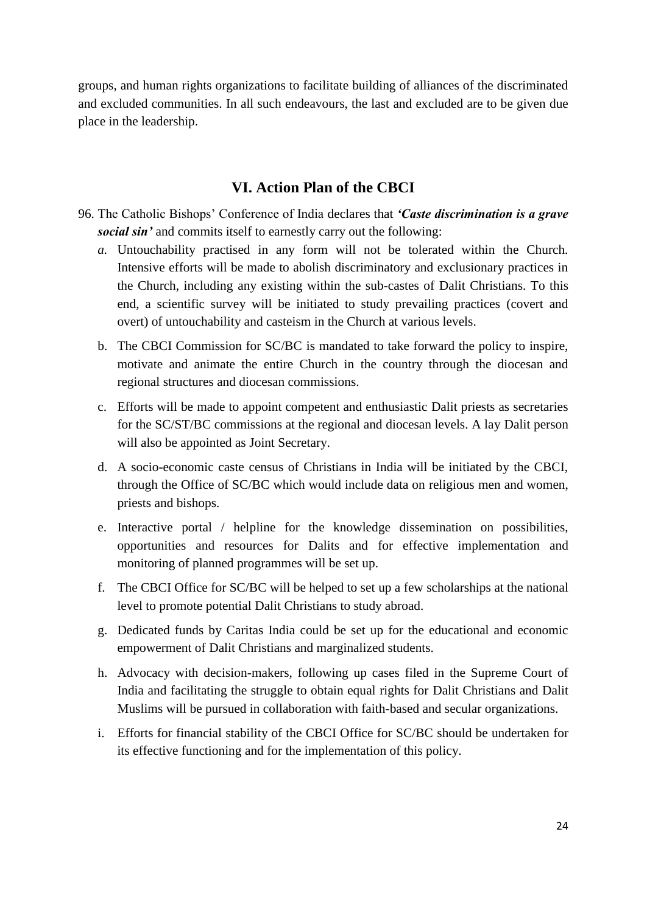groups, and human rights organizations to facilitate building of alliances of the discriminated and excluded communities. In all such endeavours, the last and excluded are to be given due place in the leadership.

# **VI. Action Plan of the CBCI**

- 96. The Catholic Bishops' Conference of India declares that *'Caste discrimination is a grave social sin'* and commits itself to earnestly carry out the following:
	- *a.* Untouchability practised in any form will not be tolerated within the Church. Intensive efforts will be made to abolish discriminatory and exclusionary practices in the Church, including any existing within the sub-castes of Dalit Christians. To this end, a scientific survey will be initiated to study prevailing practices (covert and overt) of untouchability and casteism in the Church at various levels.
	- b. The CBCI Commission for SC/BC is mandated to take forward the policy to inspire, motivate and animate the entire Church in the country through the diocesan and regional structures and diocesan commissions.
	- c. Efforts will be made to appoint competent and enthusiastic Dalit priests as secretaries for the SC/ST/BC commissions at the regional and diocesan levels. A lay Dalit person will also be appointed as Joint Secretary.
	- d. A socio-economic caste census of Christians in India will be initiated by the CBCI, through the Office of SC/BC which would include data on religious men and women, priests and bishops.
	- e. Interactive portal / helpline for the knowledge dissemination on possibilities, opportunities and resources for Dalits and for effective implementation and monitoring of planned programmes will be set up.
	- f. The CBCI Office for SC/BC will be helped to set up a few scholarships at the national level to promote potential Dalit Christians to study abroad.
	- g. Dedicated funds by Caritas India could be set up for the educational and economic empowerment of Dalit Christians and marginalized students.
	- h. Advocacy with decision-makers, following up cases filed in the Supreme Court of India and facilitating the struggle to obtain equal rights for Dalit Christians and Dalit Muslims will be pursued in collaboration with faith-based and secular organizations.
	- i. Efforts for financial stability of the CBCI Office for SC/BC should be undertaken for its effective functioning and for the implementation of this policy.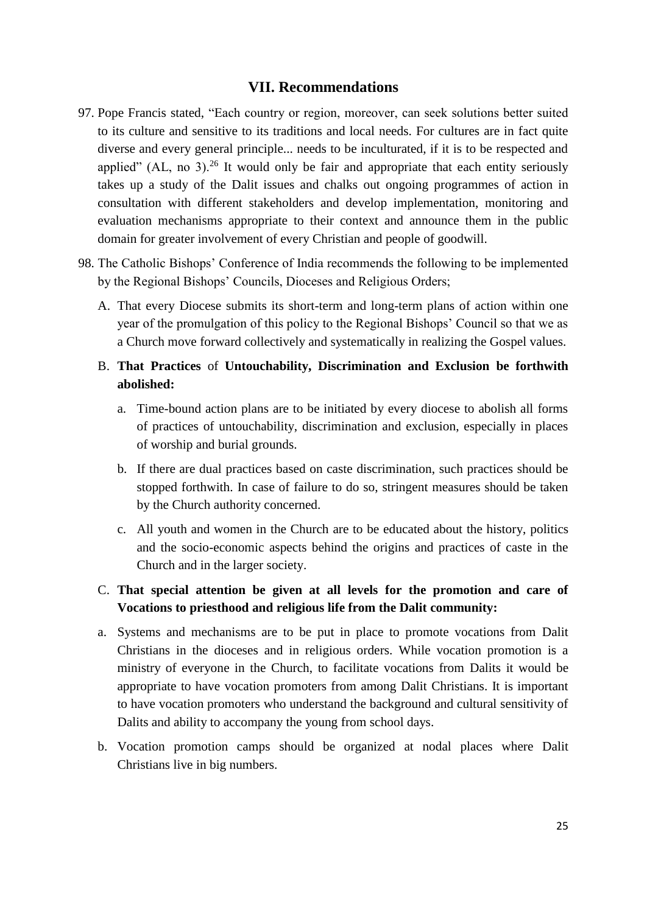#### **VII. Recommendations**

- 97. Pope Francis stated, "Each country or region, moreover, can seek solutions better suited to its culture and sensitive to its traditions and local needs. For cultures are in fact quite diverse and every general principle... needs to be inculturated, if it is to be respected and applied" (AL, no 3).<sup>26</sup> It would only be fair and appropriate that each entity seriously takes up a study of the Dalit issues and chalks out ongoing programmes of action in consultation with different stakeholders and develop implementation, monitoring and evaluation mechanisms appropriate to their context and announce them in the public domain for greater involvement of every Christian and people of goodwill.
- 98. The Catholic Bishops' Conference of India recommends the following to be implemented by the Regional Bishops' Councils, Dioceses and Religious Orders;
	- A. That every Diocese submits its short-term and long-term plans of action within one year of the promulgation of this policy to the Regional Bishops' Council so that we as a Church move forward collectively and systematically in realizing the Gospel values.

# B. **That Practices** of **Untouchability, Discrimination and Exclusion be forthwith abolished:**

- a. Time-bound action plans are to be initiated by every diocese to abolish all forms of practices of untouchability, discrimination and exclusion, especially in places of worship and burial grounds.
- b. If there are dual practices based on caste discrimination, such practices should be stopped forthwith. In case of failure to do so, stringent measures should be taken by the Church authority concerned.
- c. All youth and women in the Church are to be educated about the history, politics and the socio-economic aspects behind the origins and practices of caste in the Church and in the larger society.

# C. **That special attention be given at all levels for the promotion and care of Vocations to priesthood and religious life from the Dalit community:**

- a. Systems and mechanisms are to be put in place to promote vocations from Dalit Christians in the dioceses and in religious orders. While vocation promotion is a ministry of everyone in the Church, to facilitate vocations from Dalits it would be appropriate to have vocation promoters from among Dalit Christians. It is important to have vocation promoters who understand the background and cultural sensitivity of Dalits and ability to accompany the young from school days.
- b. Vocation promotion camps should be organized at nodal places where Dalit Christians live in big numbers.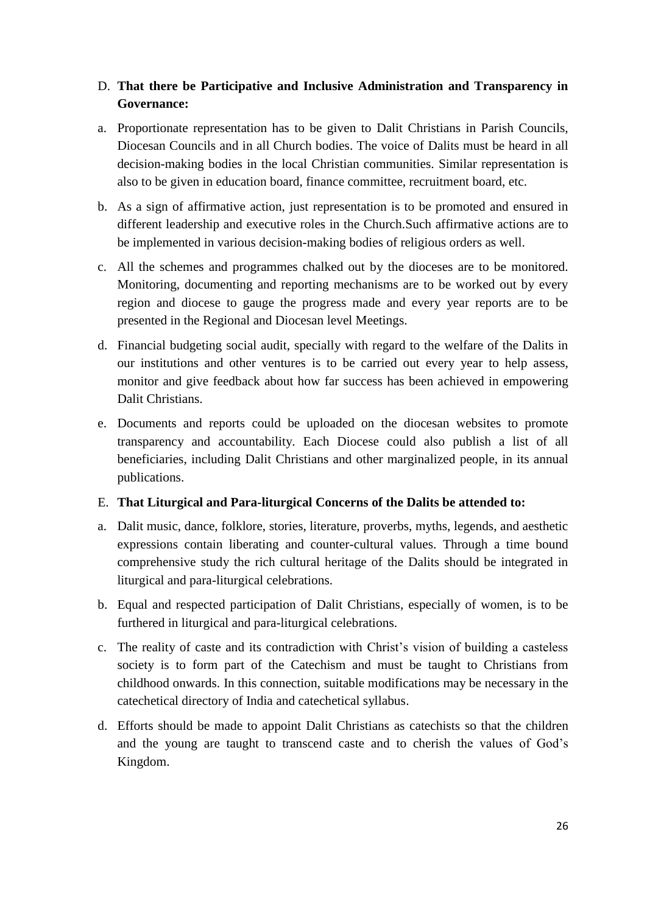# D. **That there be Participative and Inclusive Administration and Transparency in Governance:**

- a. Proportionate representation has to be given to Dalit Christians in Parish Councils, Diocesan Councils and in all Church bodies. The voice of Dalits must be heard in all decision-making bodies in the local Christian communities. Similar representation is also to be given in education board, finance committee, recruitment board, etc.
- b. As a sign of affirmative action, just representation is to be promoted and ensured in different leadership and executive roles in the Church.Such affirmative actions are to be implemented in various decision-making bodies of religious orders as well.
- c. All the schemes and programmes chalked out by the dioceses are to be monitored. Monitoring, documenting and reporting mechanisms are to be worked out by every region and diocese to gauge the progress made and every year reports are to be presented in the Regional and Diocesan level Meetings.
- d. Financial budgeting social audit, specially with regard to the welfare of the Dalits in our institutions and other ventures is to be carried out every year to help assess, monitor and give feedback about how far success has been achieved in empowering Dalit Christians.
- e. Documents and reports could be uploaded on the diocesan websites to promote transparency and accountability. Each Diocese could also publish a list of all beneficiaries, including Dalit Christians and other marginalized people, in its annual publications.

# E. **That Liturgical and Para-liturgical Concerns of the Dalits be attended to:**

- a. Dalit music, dance, folklore, stories, literature, proverbs, myths, legends, and aesthetic expressions contain liberating and counter-cultural values. Through a time bound comprehensive study the rich cultural heritage of the Dalits should be integrated in liturgical and para-liturgical celebrations.
- b. Equal and respected participation of Dalit Christians, especially of women, is to be furthered in liturgical and para-liturgical celebrations.
- c. The reality of caste and its contradiction with Christ's vision of building a casteless society is to form part of the Catechism and must be taught to Christians from childhood onwards. In this connection, suitable modifications may be necessary in the catechetical directory of India and catechetical syllabus.
- d. Efforts should be made to appoint Dalit Christians as catechists so that the children and the young are taught to transcend caste and to cherish the values of God's Kingdom.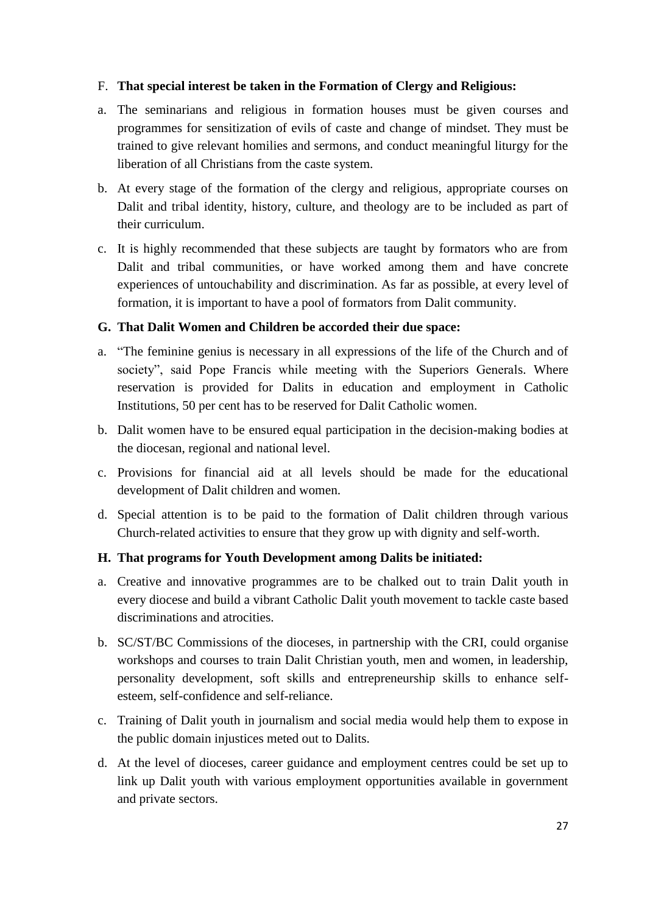# F. **That special interest be taken in the Formation of Clergy and Religious:**

- a. The seminarians and religious in formation houses must be given courses and programmes for sensitization of evils of caste and change of mindset. They must be trained to give relevant homilies and sermons, and conduct meaningful liturgy for the liberation of all Christians from the caste system.
- b. At every stage of the formation of the clergy and religious, appropriate courses on Dalit and tribal identity, history, culture, and theology are to be included as part of their curriculum.
- c. It is highly recommended that these subjects are taught by formators who are from Dalit and tribal communities, or have worked among them and have concrete experiences of untouchability and discrimination. As far as possible, at every level of formation, it is important to have a pool of formators from Dalit community.

# **G. That Dalit Women and Children be accorded their due space:**

- a. "The feminine genius is necessary in all expressions of the life of the Church and of society", said Pope Francis while meeting with the Superiors Generals. Where reservation is provided for Dalits in education and employment in Catholic Institutions, 50 per cent has to be reserved for Dalit Catholic women.
- b. Dalit women have to be ensured equal participation in the decision-making bodies at the diocesan, regional and national level.
- c. Provisions for financial aid at all levels should be made for the educational development of Dalit children and women.
- d. Special attention is to be paid to the formation of Dalit children through various Church-related activities to ensure that they grow up with dignity and self-worth.

# **H. That programs for Youth Development among Dalits be initiated:**

- a. Creative and innovative programmes are to be chalked out to train Dalit youth in every diocese and build a vibrant Catholic Dalit youth movement to tackle caste based discriminations and atrocities.
- b. SC/ST/BC Commissions of the dioceses, in partnership with the CRI, could organise workshops and courses to train Dalit Christian youth, men and women, in leadership, personality development, soft skills and entrepreneurship skills to enhance selfesteem, self-confidence and self-reliance.
- c. Training of Dalit youth in journalism and social media would help them to expose in the public domain injustices meted out to Dalits.
- d. At the level of dioceses, career guidance and employment centres could be set up to link up Dalit youth with various employment opportunities available in government and private sectors.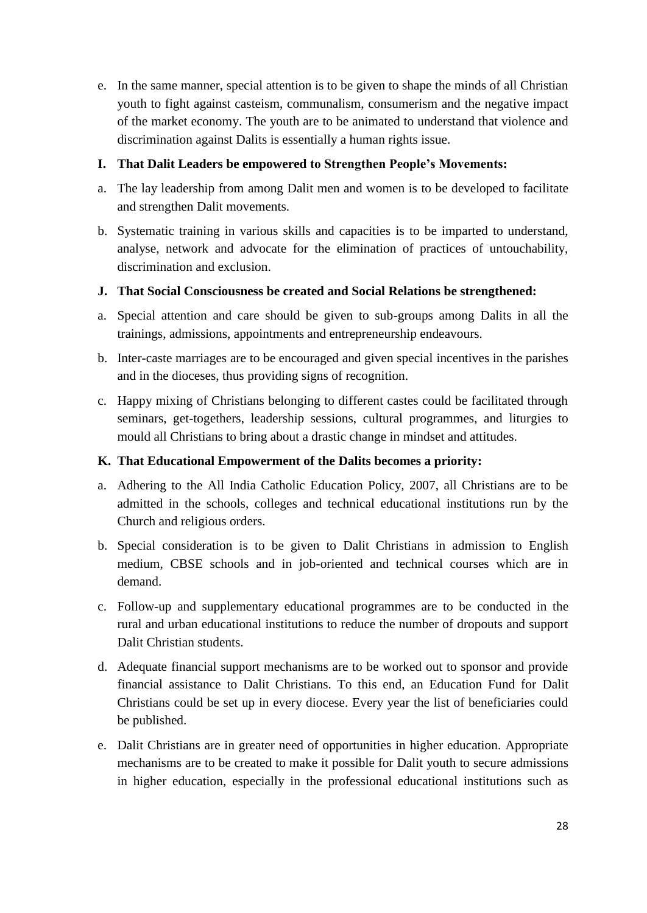e. In the same manner, special attention is to be given to shape the minds of all Christian youth to fight against casteism, communalism, consumerism and the negative impact of the market economy. The youth are to be animated to understand that violence and discrimination against Dalits is essentially a human rights issue.

# **I. That Dalit Leaders be empowered to Strengthen People's Movements:**

- a. The lay leadership from among Dalit men and women is to be developed to facilitate and strengthen Dalit movements.
- b. Systematic training in various skills and capacities is to be imparted to understand, analyse, network and advocate for the elimination of practices of untouchability, discrimination and exclusion.

# **J. That Social Consciousness be created and Social Relations be strengthened:**

- a. Special attention and care should be given to sub-groups among Dalits in all the trainings, admissions, appointments and entrepreneurship endeavours.
- b. Inter-caste marriages are to be encouraged and given special incentives in the parishes and in the dioceses, thus providing signs of recognition.
- c. Happy mixing of Christians belonging to different castes could be facilitated through seminars, get-togethers, leadership sessions, cultural programmes, and liturgies to mould all Christians to bring about a drastic change in mindset and attitudes.

# **K. That Educational Empowerment of the Dalits becomes a priority:**

- a. Adhering to the All India Catholic Education Policy, 2007, all Christians are to be admitted in the schools, colleges and technical educational institutions run by the Church and religious orders.
- b. Special consideration is to be given to Dalit Christians in admission to English medium, CBSE schools and in job-oriented and technical courses which are in demand.
- c. Follow-up and supplementary educational programmes are to be conducted in the rural and urban educational institutions to reduce the number of dropouts and support Dalit Christian students.
- d. Adequate financial support mechanisms are to be worked out to sponsor and provide financial assistance to Dalit Christians. To this end, an Education Fund for Dalit Christians could be set up in every diocese. Every year the list of beneficiaries could be published.
- e. Dalit Christians are in greater need of opportunities in higher education. Appropriate mechanisms are to be created to make it possible for Dalit youth to secure admissions in higher education, especially in the professional educational institutions such as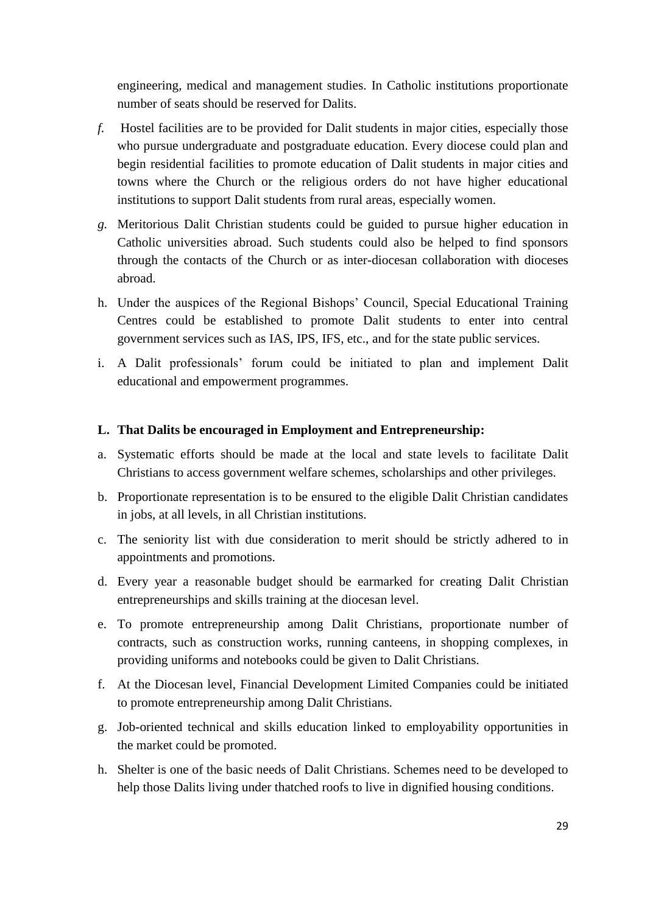engineering, medical and management studies. In Catholic institutions proportionate number of seats should be reserved for Dalits.

- *f.* Hostel facilities are to be provided for Dalit students in major cities, especially those who pursue undergraduate and postgraduate education. Every diocese could plan and begin residential facilities to promote education of Dalit students in major cities and towns where the Church or the religious orders do not have higher educational institutions to support Dalit students from rural areas, especially women.
- *g.* Meritorious Dalit Christian students could be guided to pursue higher education in Catholic universities abroad. Such students could also be helped to find sponsors through the contacts of the Church or as inter-diocesan collaboration with dioceses abroad.
- h. Under the auspices of the Regional Bishops' Council, Special Educational Training Centres could be established to promote Dalit students to enter into central government services such as IAS, IPS, IFS, etc., and for the state public services.
- i. A Dalit professionals' forum could be initiated to plan and implement Dalit educational and empowerment programmes.

#### **L. That Dalits be encouraged in Employment and Entrepreneurship:**

- a. Systematic efforts should be made at the local and state levels to facilitate Dalit Christians to access government welfare schemes, scholarships and other privileges.
- b. Proportionate representation is to be ensured to the eligible Dalit Christian candidates in jobs, at all levels, in all Christian institutions.
- c. The seniority list with due consideration to merit should be strictly adhered to in appointments and promotions.
- d. Every year a reasonable budget should be earmarked for creating Dalit Christian entrepreneurships and skills training at the diocesan level.
- e. To promote entrepreneurship among Dalit Christians, proportionate number of contracts, such as construction works, running canteens, in shopping complexes, in providing uniforms and notebooks could be given to Dalit Christians.
- f. At the Diocesan level, Financial Development Limited Companies could be initiated to promote entrepreneurship among Dalit Christians.
- g. Job-oriented technical and skills education linked to employability opportunities in the market could be promoted.
- h. Shelter is one of the basic needs of Dalit Christians. Schemes need to be developed to help those Dalits living under thatched roofs to live in dignified housing conditions.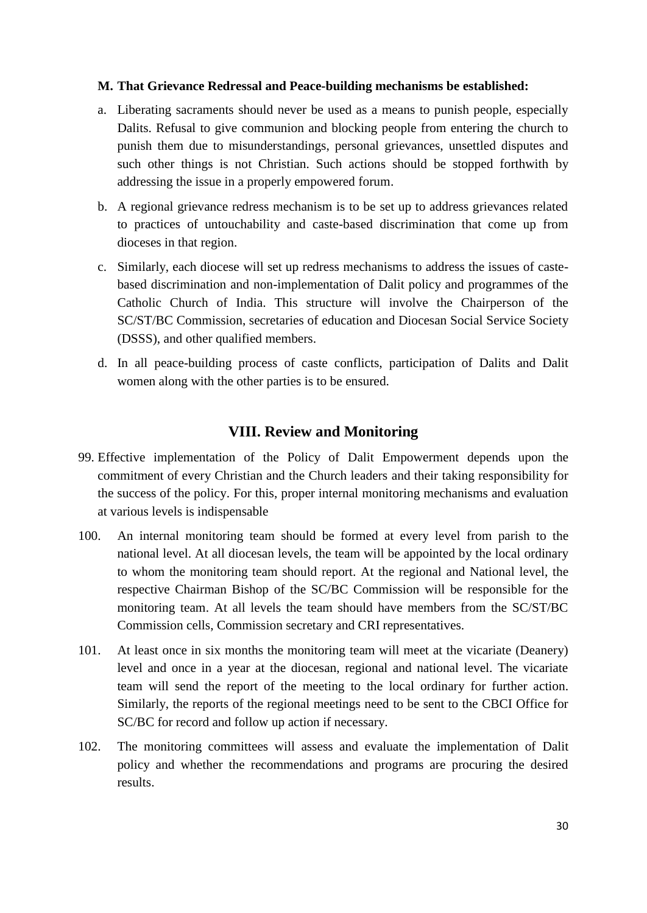#### **M. That Grievance Redressal and Peace-building mechanisms be established:**

- a. Liberating sacraments should never be used as a means to punish people, especially Dalits. Refusal to give communion and blocking people from entering the church to punish them due to misunderstandings, personal grievances, unsettled disputes and such other things is not Christian. Such actions should be stopped forthwith by addressing the issue in a properly empowered forum.
- b. A regional grievance redress mechanism is to be set up to address grievances related to practices of untouchability and caste-based discrimination that come up from dioceses in that region.
- c. Similarly, each diocese will set up redress mechanisms to address the issues of castebased discrimination and non-implementation of Dalit policy and programmes of the Catholic Church of India. This structure will involve the Chairperson of the SC/ST/BC Commission, secretaries of education and Diocesan Social Service Society (DSSS), and other qualified members.
- d. In all peace-building process of caste conflicts, participation of Dalits and Dalit women along with the other parties is to be ensured.

# **VIII. Review and Monitoring**

- 99. Effective implementation of the Policy of Dalit Empowerment depends upon the commitment of every Christian and the Church leaders and their taking responsibility for the success of the policy. For this, proper internal monitoring mechanisms and evaluation at various levels is indispensable
- 100. An internal monitoring team should be formed at every level from parish to the national level. At all diocesan levels, the team will be appointed by the local ordinary to whom the monitoring team should report. At the regional and National level, the respective Chairman Bishop of the SC/BC Commission will be responsible for the monitoring team. At all levels the team should have members from the SC/ST/BC Commission cells, Commission secretary and CRI representatives.
- 101. At least once in six months the monitoring team will meet at the vicariate (Deanery) level and once in a year at the diocesan, regional and national level. The vicariate team will send the report of the meeting to the local ordinary for further action. Similarly, the reports of the regional meetings need to be sent to the CBCI Office for SC/BC for record and follow up action if necessary.
- 102. The monitoring committees will assess and evaluate the implementation of Dalit policy and whether the recommendations and programs are procuring the desired results.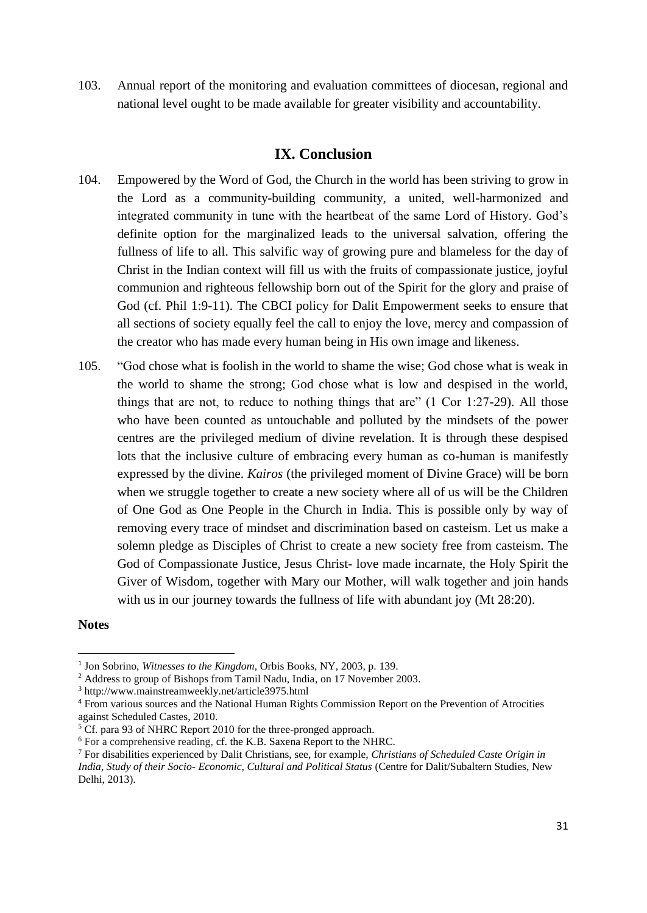103. Annual report of the monitoring and evaluation committees of diocesan, regional and national level ought to be made available for greater visibility and accountability.

# **IX. Conclusion**

- 104. Empowered by the Word of God, the Church in the world has been striving to grow in the Lord as a community-building community, a united, well-harmonized and integrated community in tune with the heartbeat of the same Lord of History. God's definite option for the marginalized leads to the universal salvation, offering the fullness of life to all. This salvific way of growing pure and blameless for the day of Christ in the Indian context will fill us with the fruits of compassionate justice, joyful communion and righteous fellowship born out of the Spirit for the glory and praise of God (cf. Phil 1:9-11). The CBCI policy for Dalit Empowerment seeks to ensure that all sections of society equally feel the call to enjoy the love, mercy and compassion of the creator who has made every human being in His own image and likeness.
- 105. "God chose what is foolish in the world to shame the wise; God chose what is weak in the world to shame the strong; God chose what is low and despised in the world, things that are not, to reduce to nothing things that are" (1 Cor 1:27-29). All those who have been counted as untouchable and polluted by the mindsets of the power centres are the privileged medium of divine revelation. It is through these despised lots that the inclusive culture of embracing every human as co-human is manifestly expressed by the divine. *Kairos* (the privileged moment of Divine Grace) will be born when we struggle together to create a new society where all of us will be the Children of One God as One People in the Church in India. This is possible only by way of removing every trace of mindset and discrimination based on casteism. Let us make a solemn pledge as Disciples of Christ to create a new society free from casteism. The God of Compassionate Justice, Jesus Christ- love made incarnate, the Holy Spirit the Giver of Wisdom, together with Mary our Mother, will walk together and join hands with us in our journey towards the fullness of life with abundant joy (Mt 28:20).

#### **Notes**

1

<sup>&</sup>lt;sup>1</sup> Jon Sobrino, *Witnesses to the Kingdom*, Orbis Books, NY, 2003, p. 139.

<sup>&</sup>lt;sup>2</sup> Address to group of Bishops from Tamil Nadu, India, on 17 November 2003.

<sup>3</sup> http://www.mainstreamweekly.net/article3975.html

<sup>4</sup> From various sources and the National Human Rights Commission Report on the Prevention of Atrocities against Scheduled Castes, 2010.

<sup>&</sup>lt;sup>5</sup> Cf. para 93 of NHRC Report 2010 for the three-pronged approach.

<sup>6</sup> For a comprehensive reading, cf. the K.B. Saxena Report to the NHRC.

<sup>7</sup> For disabilities experienced by Dalit Christians, see, for example, *Christians of Scheduled Caste Origin in India, Study of their Socio- Economic, Cultural and Political Status* (Centre for Dalit/Subaltern Studies, New Delhi, 2013).